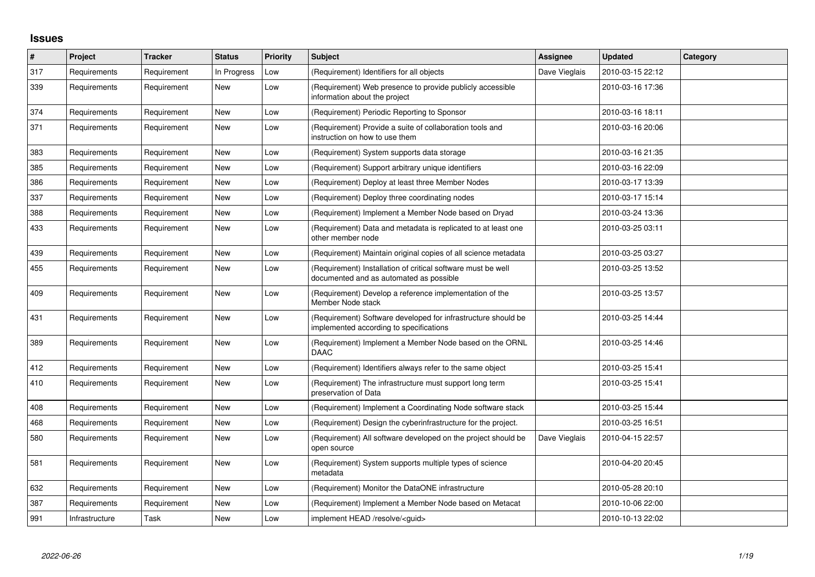## **Issues**

| $\vert$ # | Project        | <b>Tracker</b> | <b>Status</b> | <b>Priority</b> | <b>Subject</b>                                                                                           | <b>Assignee</b> | <b>Updated</b>   | Category |
|-----------|----------------|----------------|---------------|-----------------|----------------------------------------------------------------------------------------------------------|-----------------|------------------|----------|
| 317       | Requirements   | Requirement    | In Progress   | Low             | (Requirement) Identifiers for all objects                                                                | Dave Vieglais   | 2010-03-15 22:12 |          |
| 339       | Requirements   | Requirement    | New           | Low             | (Requirement) Web presence to provide publicly accessible<br>information about the project               |                 | 2010-03-16 17:36 |          |
| 374       | Requirements   | Requirement    | <b>New</b>    | Low             | (Requirement) Periodic Reporting to Sponsor                                                              |                 | 2010-03-16 18:11 |          |
| 371       | Requirements   | Requirement    | New           | Low             | (Requirement) Provide a suite of collaboration tools and<br>instruction on how to use them               |                 | 2010-03-16 20:06 |          |
| 383       | Requirements   | Requirement    | New           | Low             | (Requirement) System supports data storage                                                               |                 | 2010-03-16 21:35 |          |
| 385       | Requirements   | Requirement    | <b>New</b>    | Low             | (Requirement) Support arbitrary unique identifiers                                                       |                 | 2010-03-16 22:09 |          |
| 386       | Requirements   | Requirement    | New           | Low             | (Requirement) Deploy at least three Member Nodes                                                         |                 | 2010-03-17 13:39 |          |
| 337       | Requirements   | Requirement    | New           | Low             | (Requirement) Deploy three coordinating nodes                                                            |                 | 2010-03-17 15:14 |          |
| 388       | Requirements   | Requirement    | New           | Low             | (Requirement) Implement a Member Node based on Dryad                                                     |                 | 2010-03-24 13:36 |          |
| 433       | Requirements   | Requirement    | New           | Low             | (Requirement) Data and metadata is replicated to at least one<br>other member node                       |                 | 2010-03-25 03:11 |          |
| 439       | Requirements   | Requirement    | New           | Low             | (Requirement) Maintain original copies of all science metadata                                           |                 | 2010-03-25 03:27 |          |
| 455       | Requirements   | Requirement    | New           | Low             | (Requirement) Installation of critical software must be well<br>documented and as automated as possible  |                 | 2010-03-25 13:52 |          |
| 409       | Requirements   | Requirement    | <b>New</b>    | Low             | (Requirement) Develop a reference implementation of the<br>Member Node stack                             |                 | 2010-03-25 13:57 |          |
| 431       | Requirements   | Requirement    | New           | Low             | (Requirement) Software developed for infrastructure should be<br>implemented according to specifications |                 | 2010-03-25 14:44 |          |
| 389       | Requirements   | Requirement    | New           | Low             | (Requirement) Implement a Member Node based on the ORNL<br>DAAC                                          |                 | 2010-03-25 14:46 |          |
| 412       | Requirements   | Requirement    | <b>New</b>    | Low             | (Requirement) Identifiers always refer to the same object                                                |                 | 2010-03-25 15:41 |          |
| 410       | Requirements   | Requirement    | New           | Low             | (Requirement) The infrastructure must support long term<br>preservation of Data                          |                 | 2010-03-25 15:41 |          |
| 408       | Requirements   | Requirement    | <b>New</b>    | Low             | (Requirement) Implement a Coordinating Node software stack                                               |                 | 2010-03-25 15:44 |          |
| 468       | Requirements   | Requirement    | New           | Low             | (Requirement) Design the cyberinfrastructure for the project.                                            |                 | 2010-03-25 16:51 |          |
| 580       | Requirements   | Requirement    | New           | Low             | (Requirement) All software developed on the project should be<br>open source                             | Dave Vieglais   | 2010-04-15 22:57 |          |
| 581       | Requirements   | Requirement    | <b>New</b>    | Low             | (Requirement) System supports multiple types of science<br>metadata                                      |                 | 2010-04-20 20:45 |          |
| 632       | Requirements   | Requirement    | New           | Low             | (Requirement) Monitor the DataONE infrastructure                                                         |                 | 2010-05-28 20:10 |          |
| 387       | Requirements   | Requirement    | New           | Low             | (Requirement) Implement a Member Node based on Metacat                                                   |                 | 2010-10-06 22:00 |          |
| 991       | Infrastructure | Task           | New           | Low             | implement HEAD /resolve/ <guid></guid>                                                                   |                 | 2010-10-13 22:02 |          |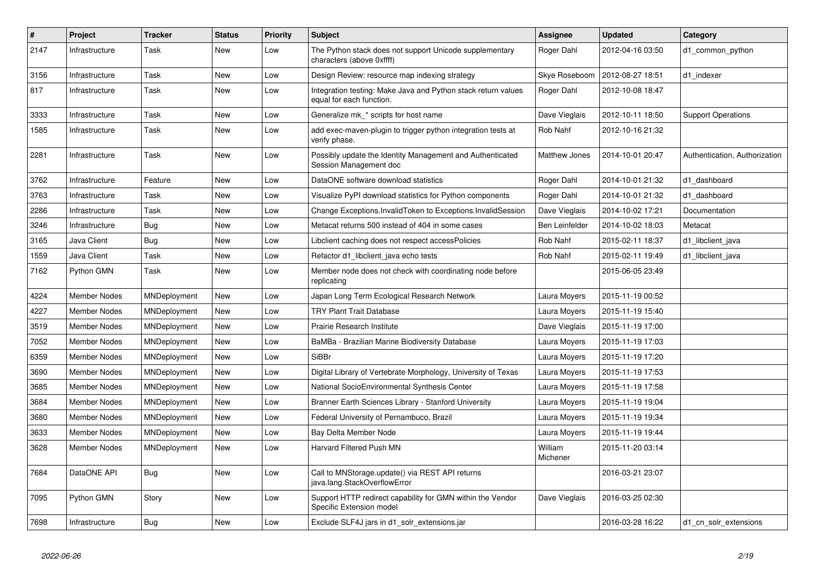| $\vert$ # | Project             | <b>Tracker</b> | <b>Status</b> | <b>Priority</b> | <b>Subject</b>                                                                            | Assignee            | <b>Updated</b>   | Category                      |
|-----------|---------------------|----------------|---------------|-----------------|-------------------------------------------------------------------------------------------|---------------------|------------------|-------------------------------|
| 2147      | Infrastructure      | Task           | New           | Low             | The Python stack does not support Unicode supplementary<br>characters (above 0xffff)      | Roger Dahl          | 2012-04-16 03:50 | d1 common python              |
| 3156      | Infrastructure      | Task           | <b>New</b>    | Low             | Design Review: resource map indexing strategy                                             | Skye Roseboom       | 2012-08-27 18:51 | d1_indexer                    |
| 817       | Infrastructure      | Task           | New           | Low             | Integration testing: Make Java and Python stack return values<br>equal for each function. | Roger Dahl          | 2012-10-08 18:47 |                               |
| 3333      | Infrastructure      | Task           | <b>New</b>    | Low             | Generalize mk * scripts for host name                                                     | Dave Vieglais       | 2012-10-11 18:50 | <b>Support Operations</b>     |
| 1585      | Infrastructure      | Task           | New           | Low             | add exec-maven-plugin to trigger python integration tests at<br>verify phase.             | Rob Nahf            | 2012-10-16 21:32 |                               |
| 2281      | Infrastructure      | Task           | <b>New</b>    | Low             | Possibly update the Identity Management and Authenticated<br>Session Management doc       | Matthew Jones       | 2014-10-01 20:47 | Authentication, Authorization |
| 3762      | Infrastructure      | Feature        | New           | Low             | DataONE software download statistics                                                      | Roger Dahl          | 2014-10-01 21:32 | d1 dashboard                  |
| 3763      | Infrastructure      | Task           | New           | Low             | Visualize PyPI download statistics for Python components                                  | Roger Dahl          | 2014-10-01 21:32 | d1 dashboard                  |
| 2286      | Infrastructure      | Task           | New           | Low             | Change Exceptions. Invalid Token to Exceptions. Invalid Session                           | Dave Vieglais       | 2014-10-02 17:21 | Documentation                 |
| 3246      | Infrastructure      | <b>Bug</b>     | New           | Low             | Metacat returns 500 instead of 404 in some cases                                          | Ben Leinfelder      | 2014-10-02 18:03 | Metacat                       |
| 3165      | Java Client         | <b>Bug</b>     | New           | Low             | Libclient caching does not respect accessPolicies                                         | Rob Nahf            | 2015-02-11 18:37 | d1_libclient_java             |
| 1559      | Java Client         | Task           | New           | Low             | Refactor d1 libclient java echo tests                                                     | Rob Nahf            | 2015-02-11 19:49 | d1 libclient java             |
| 7162      | Python GMN          | Task           | New           | Low             | Member node does not check with coordinating node before<br>replicating                   |                     | 2015-06-05 23:49 |                               |
| 4224      | <b>Member Nodes</b> | MNDeployment   | <b>New</b>    | Low             | Japan Long Term Ecological Research Network                                               | Laura Moyers        | 2015-11-19 00:52 |                               |
| 4227      | Member Nodes        | MNDeployment   | New           | Low             | <b>TRY Plant Trait Database</b>                                                           | Laura Moyers        | 2015-11-19 15:40 |                               |
| 3519      | <b>Member Nodes</b> | MNDeployment   | New           | Low             | Prairie Research Institute                                                                | Dave Vieglais       | 2015-11-19 17:00 |                               |
| 7052      | <b>Member Nodes</b> | MNDeployment   | New           | Low             | BaMBa - Brazilian Marine Biodiversity Database                                            | Laura Moyers        | 2015-11-19 17:03 |                               |
| 6359      | Member Nodes        | MNDeployment   | New           | Low             | <b>SiBBr</b>                                                                              | Laura Moyers        | 2015-11-19 17:20 |                               |
| 3690      | Member Nodes        | MNDeployment   | New           | Low             | Digital Library of Vertebrate Morphology, University of Texas                             | Laura Moyers        | 2015-11-19 17:53 |                               |
| 3685      | <b>Member Nodes</b> | MNDeployment   | New           | Low             | National SocioEnvironmental Synthesis Center                                              | Laura Moyers        | 2015-11-19 17:58 |                               |
| 3684      | Member Nodes        | MNDeployment   | <b>New</b>    | Low             | Branner Earth Sciences Library - Stanford University                                      | Laura Moyers        | 2015-11-19 19:04 |                               |
| 3680      | Member Nodes        | MNDeployment   | New           | Low             | Federal University of Pernambuco, Brazil                                                  | Laura Moyers        | 2015-11-19 19:34 |                               |
| 3633      | Member Nodes        | MNDeployment   | New           | Low             | Bay Delta Member Node                                                                     | Laura Moyers        | 2015-11-19 19:44 |                               |
| 3628      | Member Nodes        | MNDeployment   | <b>New</b>    | Low             | Harvard Filtered Push MN                                                                  | William<br>Michener | 2015-11-20 03:14 |                               |
| 7684      | DataONE API         | <b>Bug</b>     | New           | Low             | Call to MNStorage.update() via REST API returns<br>java.lang.StackOverflowError           |                     | 2016-03-21 23:07 |                               |
| 7095      | Python GMN          | Story          | New           | Low             | Support HTTP redirect capability for GMN within the Vendor<br>Specific Extension model    | Dave Vieglais       | 2016-03-25 02:30 |                               |
| 7698      | Infrastructure      | <b>Bug</b>     | <b>New</b>    | Low             | Exclude SLF4J jars in d1_solr_extensions.jar                                              |                     | 2016-03-28 16:22 | d1_cn_solr_extensions         |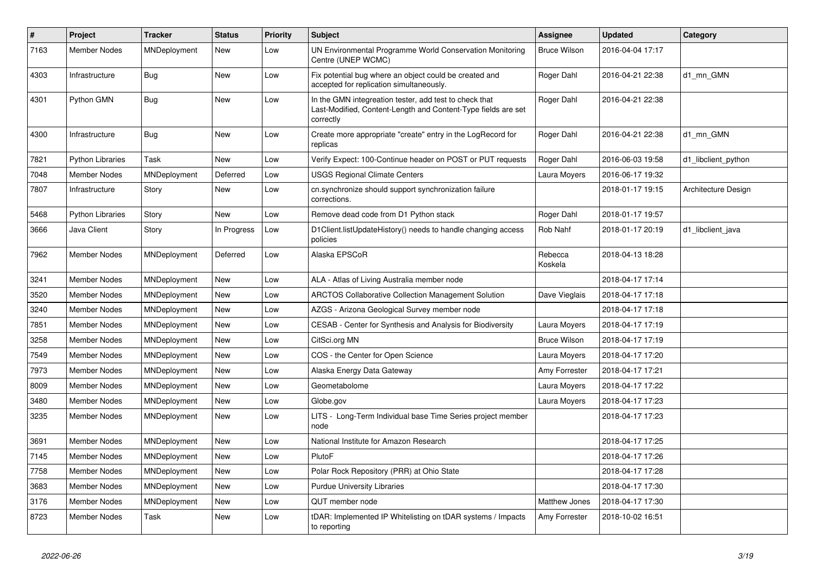| $\vert$ # | Project                 | <b>Tracker</b>      | <b>Status</b> | <b>Priority</b> | <b>Subject</b>                                                                                                                       | Assignee            | <b>Updated</b>   | Category            |
|-----------|-------------------------|---------------------|---------------|-----------------|--------------------------------------------------------------------------------------------------------------------------------------|---------------------|------------------|---------------------|
| 7163      | <b>Member Nodes</b>     | MNDeployment        | <b>New</b>    | Low             | UN Environmental Programme World Conservation Monitoring<br>Centre (UNEP WCMC)                                                       | Bruce Wilson        | 2016-04-04 17:17 |                     |
| 4303      | Infrastructure          | Bug                 | New           | Low             | Fix potential bug where an object could be created and<br>accepted for replication simultaneously.                                   | Roger Dahl          | 2016-04-21 22:38 | d1_mn_GMN           |
| 4301      | Python GMN              | <b>Bug</b>          | New           | Low             | In the GMN integreation tester, add test to check that<br>Last-Modified, Content-Length and Content-Type fields are set<br>correctly | Roger Dahl          | 2016-04-21 22:38 |                     |
| 4300      | Infrastructure          | <b>Bug</b>          | <b>New</b>    | Low             | Create more appropriate "create" entry in the LogRecord for<br>replicas                                                              | Roger Dahl          | 2016-04-21 22:38 | d1 mn GMN           |
| 7821      | <b>Python Libraries</b> | Task                | New           | Low             | Verify Expect: 100-Continue header on POST or PUT requests                                                                           | Roger Dahl          | 2016-06-03 19:58 | d1 libclient python |
| 7048      | <b>Member Nodes</b>     | MNDeployment        | Deferred      | Low             | <b>USGS Regional Climate Centers</b>                                                                                                 | Laura Moyers        | 2016-06-17 19:32 |                     |
| 7807      | Infrastructure          | Story               | New           | Low             | cn.synchronize should support synchronization failure<br>corrections.                                                                |                     | 2018-01-17 19:15 | Architecture Design |
| 5468      | <b>Python Libraries</b> | Story               | <b>New</b>    | Low             | Remove dead code from D1 Python stack                                                                                                | Roger Dahl          | 2018-01-17 19:57 |                     |
| 3666      | Java Client             | Story               | In Progress   | Low             | D1Client.listUpdateHistory() needs to handle changing access<br>policies                                                             | Rob Nahf            | 2018-01-17 20:19 | d1 libclient java   |
| 7962      | <b>Member Nodes</b>     | MNDeployment        | Deferred      | Low             | Alaska EPSCoR                                                                                                                        | Rebecca<br>Koskela  | 2018-04-13 18:28 |                     |
| 3241      | <b>Member Nodes</b>     | MNDeployment        | <b>New</b>    | Low             | ALA - Atlas of Living Australia member node                                                                                          |                     | 2018-04-17 17:14 |                     |
| 3520      | <b>Member Nodes</b>     | MNDeployment        | New           | Low             | <b>ARCTOS Collaborative Collection Management Solution</b>                                                                           | Dave Vieglais       | 2018-04-17 17:18 |                     |
| 3240      | <b>Member Nodes</b>     | MNDeployment        | <b>New</b>    | Low             | AZGS - Arizona Geological Survey member node                                                                                         |                     | 2018-04-17 17:18 |                     |
| 7851      | <b>Member Nodes</b>     | MNDeployment        | <b>New</b>    | Low             | CESAB - Center for Synthesis and Analysis for Biodiversity                                                                           | Laura Moyers        | 2018-04-17 17:19 |                     |
| 3258      | Member Nodes            | <b>MNDeployment</b> | <b>New</b>    | Low             | CitSci.org MN                                                                                                                        | <b>Bruce Wilson</b> | 2018-04-17 17:19 |                     |
| 7549      | <b>Member Nodes</b>     | MNDeployment        | New           | Low             | COS - the Center for Open Science                                                                                                    | Laura Moyers        | 2018-04-17 17:20 |                     |
| 7973      | <b>Member Nodes</b>     | MNDeployment        | <b>New</b>    | Low             | Alaska Energy Data Gateway                                                                                                           | Amy Forrester       | 2018-04-17 17:21 |                     |
| 8009      | Member Nodes            | MNDeployment        | <b>New</b>    | Low             | Geometabolome                                                                                                                        | Laura Moyers        | 2018-04-17 17:22 |                     |
| 3480      | Member Nodes            | MNDeployment        | <b>New</b>    | Low             | Globe.gov                                                                                                                            | Laura Moyers        | 2018-04-17 17:23 |                     |
| 3235      | Member Nodes            | MNDeployment        | New           | Low             | LITS - Long-Term Individual base Time Series project member<br>node                                                                  |                     | 2018-04-17 17:23 |                     |
| 3691      | <b>Member Nodes</b>     | MNDeployment        | New           | Low             | National Institute for Amazon Research                                                                                               |                     | 2018-04-17 17:25 |                     |
| 7145      | Member Nodes            | MNDeployment        | New           | Low             | PlutoF                                                                                                                               |                     | 2018-04-17 17:26 |                     |
| 7758      | <b>Member Nodes</b>     | MNDeployment        | New           | Low             | Polar Rock Repository (PRR) at Ohio State                                                                                            |                     | 2018-04-17 17:28 |                     |
| 3683      | <b>Member Nodes</b>     | MNDeployment        | New           | Low             | <b>Purdue University Libraries</b>                                                                                                   |                     | 2018-04-17 17:30 |                     |
| 3176      | <b>Member Nodes</b>     | MNDeployment        | New           | Low             | QUT member node                                                                                                                      | Matthew Jones       | 2018-04-17 17:30 |                     |
| 8723      | Member Nodes            | Task                | New           | Low             | tDAR: Implemented IP Whitelisting on tDAR systems / Impacts<br>to reporting                                                          | Amy Forrester       | 2018-10-02 16:51 |                     |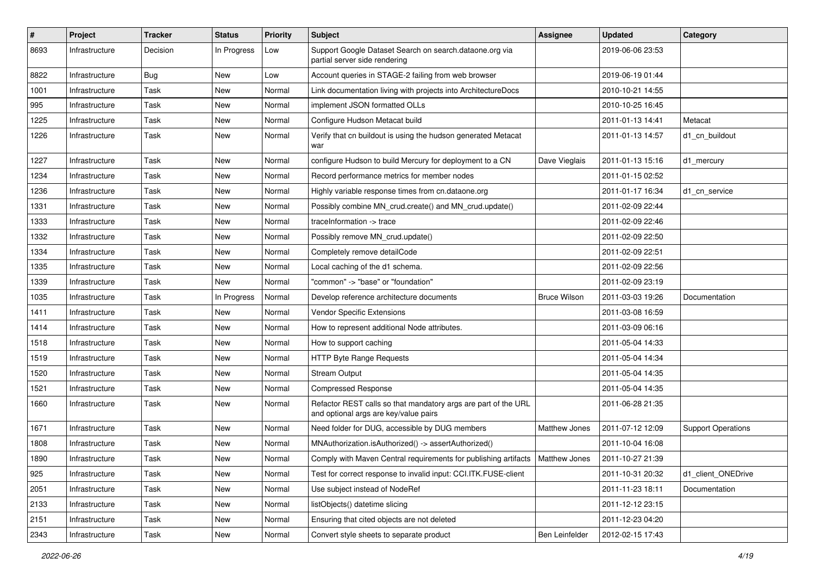| $\pmb{\#}$ | Project        | <b>Tracker</b> | <b>Status</b> | <b>Priority</b> | <b>Subject</b>                                                                                          | <b>Assignee</b>     | <b>Updated</b>   | Category                  |
|------------|----------------|----------------|---------------|-----------------|---------------------------------------------------------------------------------------------------------|---------------------|------------------|---------------------------|
| 8693       | Infrastructure | Decision       | In Progress   | Low             | Support Google Dataset Search on search.dataone.org via<br>partial server side rendering                |                     | 2019-06-06 23:53 |                           |
| 8822       | Infrastructure | <b>Bug</b>     | New           | Low             | Account queries in STAGE-2 failing from web browser                                                     |                     | 2019-06-19 01:44 |                           |
| 1001       | Infrastructure | Task           | New           | Normal          | Link documentation living with projects into ArchitectureDocs                                           |                     | 2010-10-21 14:55 |                           |
| 995        | Infrastructure | Task           | New           | Normal          | implement JSON formatted OLLs                                                                           |                     | 2010-10-25 16:45 |                           |
| 1225       | Infrastructure | Task           | New           | Normal          | Configure Hudson Metacat build                                                                          |                     | 2011-01-13 14:41 | Metacat                   |
| 1226       | Infrastructure | Task           | New           | Normal          | Verify that cn buildout is using the hudson generated Metacat<br>war                                    |                     | 2011-01-13 14:57 | d1_cn_buildout            |
| 1227       | Infrastructure | Task           | New           | Normal          | configure Hudson to build Mercury for deployment to a CN                                                | Dave Vieglais       | 2011-01-13 15:16 | d1 mercury                |
| 1234       | Infrastructure | Task           | New           | Normal          | Record performance metrics for member nodes                                                             |                     | 2011-01-15 02:52 |                           |
| 1236       | Infrastructure | Task           | New           | Normal          | Highly variable response times from cn.dataone.org                                                      |                     | 2011-01-17 16:34 | d1_cn_service             |
| 1331       | Infrastructure | Task           | New           | Normal          | Possibly combine MN crud.create() and MN crud.update()                                                  |                     | 2011-02-09 22:44 |                           |
| 1333       | Infrastructure | Task           | New           | Normal          | traceInformation -> trace                                                                               |                     | 2011-02-09 22:46 |                           |
| 1332       | Infrastructure | Task           | New           | Normal          | Possibly remove MN_crud.update()                                                                        |                     | 2011-02-09 22:50 |                           |
| 1334       | Infrastructure | Task           | New           | Normal          | Completely remove detailCode                                                                            |                     | 2011-02-09 22:51 |                           |
| 1335       | Infrastructure | Task           | New           | Normal          | Local caching of the d1 schema.                                                                         |                     | 2011-02-09 22:56 |                           |
| 1339       | Infrastructure | Task           | New           | Normal          | "common" -> "base" or "foundation"                                                                      |                     | 2011-02-09 23:19 |                           |
| 1035       | Infrastructure | Task           | In Progress   | Normal          | Develop reference architecture documents                                                                | <b>Bruce Wilson</b> | 2011-03-03 19:26 | Documentation             |
| 1411       | Infrastructure | Task           | New           | Normal          | Vendor Specific Extensions                                                                              |                     | 2011-03-08 16:59 |                           |
| 1414       | Infrastructure | Task           | New           | Normal          | How to represent additional Node attributes.                                                            |                     | 2011-03-09 06:16 |                           |
| 1518       | Infrastructure | Task           | New           | Normal          | How to support caching                                                                                  |                     | 2011-05-04 14:33 |                           |
| 1519       | Infrastructure | Task           | New           | Normal          | HTTP Byte Range Requests                                                                                |                     | 2011-05-04 14:34 |                           |
| 1520       | Infrastructure | Task           | New           | Normal          | <b>Stream Output</b>                                                                                    |                     | 2011-05-04 14:35 |                           |
| 1521       | Infrastructure | Task           | New           | Normal          | <b>Compressed Response</b>                                                                              |                     | 2011-05-04 14:35 |                           |
| 1660       | Infrastructure | Task           | New           | Normal          | Refactor REST calls so that mandatory args are part of the URL<br>and optional args are key/value pairs |                     | 2011-06-28 21:35 |                           |
| 1671       | Infrastructure | Task           | New           | Normal          | Need folder for DUG, accessible by DUG members                                                          | Matthew Jones       | 2011-07-12 12:09 | <b>Support Operations</b> |
| 1808       | Infrastructure | Task           | New           | Normal          | MNAuthorization.isAuthorized() -> assertAuthorized()                                                    |                     | 2011-10-04 16:08 |                           |
| 1890       | Infrastructure | Task           | New           | Normal          | Comply with Maven Central requirements for publishing artifacts   Matthew Jones                         |                     | 2011-10-27 21:39 |                           |
| 925        | Infrastructure | Task           | New           | Normal          | Test for correct response to invalid input: CCI.ITK.FUSE-client                                         |                     | 2011-10-31 20:32 | d1_client_ONEDrive        |
| 2051       | Infrastructure | Task           | New           | Normal          | Use subject instead of NodeRef                                                                          |                     | 2011-11-23 18:11 | Documentation             |
| 2133       | Infrastructure | Task           | New           | Normal          | listObjects() datetime slicing                                                                          |                     | 2011-12-12 23:15 |                           |
| 2151       | Infrastructure | Task           | New           | Normal          | Ensuring that cited objects are not deleted                                                             |                     | 2011-12-23 04:20 |                           |
| 2343       | Infrastructure | Task           | New           | Normal          | Convert style sheets to separate product                                                                | Ben Leinfelder      | 2012-02-15 17:43 |                           |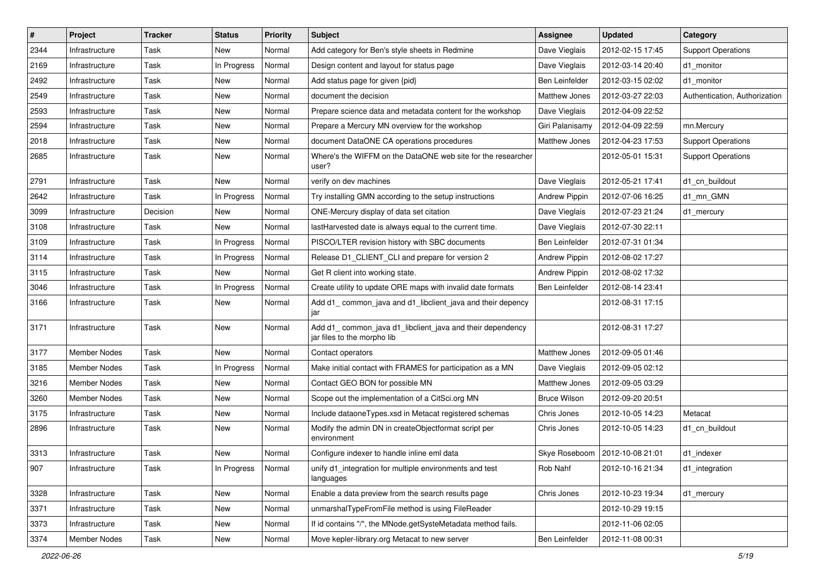| $\#$ | Project             | <b>Tracker</b> | <b>Status</b> | <b>Priority</b> | <b>Subject</b>                                                                           | Assignee             | <b>Updated</b>                   | Category                      |
|------|---------------------|----------------|---------------|-----------------|------------------------------------------------------------------------------------------|----------------------|----------------------------------|-------------------------------|
| 2344 | Infrastructure      | Task           | New           | Normal          | Add category for Ben's style sheets in Redmine                                           | Dave Vieglais        | 2012-02-15 17:45                 | <b>Support Operations</b>     |
| 2169 | Infrastructure      | Task           | In Progress   | Normal          | Design content and layout for status page                                                | Dave Vieglais        | 2012-03-14 20:40                 | d1_monitor                    |
| 2492 | Infrastructure      | Task           | New           | Normal          | Add status page for given {pid}                                                          | Ben Leinfelder       | 2012-03-15 02:02                 | d1 monitor                    |
| 2549 | Infrastructure      | Task           | New           | Normal          | document the decision                                                                    | Matthew Jones        | 2012-03-27 22:03                 | Authentication, Authorization |
| 2593 | Infrastructure      | Task           | <b>New</b>    | Normal          | Prepare science data and metadata content for the workshop                               | Dave Vieglais        | 2012-04-09 22:52                 |                               |
| 2594 | Infrastructure      | Task           | New           | Normal          | Prepare a Mercury MN overview for the workshop                                           | Giri Palanisamy      | 2012-04-09 22:59                 | mn.Mercury                    |
| 2018 | Infrastructure      | Task           | New           | Normal          | document DataONE CA operations procedures                                                | Matthew Jones        | 2012-04-23 17:53                 | <b>Support Operations</b>     |
| 2685 | Infrastructure      | Task           | New           | Normal          | Where's the WIFFM on the DataONE web site for the researcher<br>user?                    |                      | 2012-05-01 15:31                 | <b>Support Operations</b>     |
| 2791 | Infrastructure      | Task           | New           | Normal          | verify on dev machines                                                                   | Dave Vieglais        | 2012-05-21 17:41                 | d1_cn_buildout                |
| 2642 | Infrastructure      | Task           | In Progress   | Normal          | Try installing GMN according to the setup instructions                                   | <b>Andrew Pippin</b> | 2012-07-06 16:25                 | d1_mn_GMN                     |
| 3099 | Infrastructure      | Decision       | New           | Normal          | ONE-Mercury display of data set citation                                                 | Dave Vieglais        | 2012-07-23 21:24                 | d1 mercury                    |
| 3108 | Infrastructure      | Task           | <b>New</b>    | Normal          | lastHarvested date is always equal to the current time.                                  | Dave Vieglais        | 2012-07-30 22:11                 |                               |
| 3109 | Infrastructure      | Task           | In Progress   | Normal          | PISCO/LTER revision history with SBC documents                                           | Ben Leinfelder       | 2012-07-31 01:34                 |                               |
| 3114 | Infrastructure      | Task           | In Progress   | Normal          | Release D1_CLIENT_CLI and prepare for version 2                                          | <b>Andrew Pippin</b> | 2012-08-02 17:27                 |                               |
| 3115 | Infrastructure      | Task           | New           | Normal          | Get R client into working state.                                                         | <b>Andrew Pippin</b> | 2012-08-02 17:32                 |                               |
| 3046 | Infrastructure      | Task           | In Progress   | Normal          | Create utility to update ORE maps with invalid date formats                              | Ben Leinfelder       | 2012-08-14 23:41                 |                               |
| 3166 | Infrastructure      | Task           | <b>New</b>    | Normal          | Add d1_common_java and d1_libclient_java and their depency<br>jar                        |                      | 2012-08-31 17:15                 |                               |
| 3171 | Infrastructure      | Task           | New           | Normal          | Add d1_common_java d1_libclient_java and their dependency<br>jar files to the morpho lib |                      | 2012-08-31 17:27                 |                               |
| 3177 | <b>Member Nodes</b> | Task           | New           | Normal          | Contact operators                                                                        | Matthew Jones        | 2012-09-05 01:46                 |                               |
| 3185 | Member Nodes        | Task           | In Progress   | Normal          | Make initial contact with FRAMES for participation as a MN                               | Dave Vieglais        | 2012-09-05 02:12                 |                               |
| 3216 | Member Nodes        | Task           | New           | Normal          | Contact GEO BON for possible MN                                                          | Matthew Jones        | 2012-09-05 03:29                 |                               |
| 3260 | <b>Member Nodes</b> | Task           | New           | Normal          | Scope out the implementation of a CitSci.org MN                                          | <b>Bruce Wilson</b>  | 2012-09-20 20:51                 |                               |
| 3175 | Infrastructure      | Task           | <b>New</b>    | Normal          | Include dataoneTypes.xsd in Metacat registered schemas                                   | Chris Jones          | 2012-10-05 14:23                 | Metacat                       |
| 2896 | Infrastructure      | Task           | New           | Normal          | Modify the admin DN in createObjectformat script per<br>environment                      | Chris Jones          | 2012-10-05 14:23                 | d1_cn_buildout                |
| 3313 | Infrastructure      | Task           | New           | Normal          | Configure indexer to handle inline eml data                                              |                      | Skye Roseboom   2012-10-08 21:01 | d1_indexer                    |
| 907  | Infrastructure      | Task           | In Progress   | Normal          | unify d1_integration for multiple environments and test<br>languages                     | Rob Nahf             | 2012-10-16 21:34                 | d1_integration                |
| 3328 | Infrastructure      | Task           | New           | Normal          | Enable a data preview from the search results page                                       | Chris Jones          | 2012-10-23 19:34                 | d1_mercury                    |
| 3371 | Infrastructure      | Task           | New           | Normal          | unmarshalTypeFromFile method is using FileReader                                         |                      | 2012-10-29 19:15                 |                               |
| 3373 | Infrastructure      | Task           | New           | Normal          | If id contains "/", the MNode.getSysteMetadata method fails.                             |                      | 2012-11-06 02:05                 |                               |
| 3374 | Member Nodes        | Task           | New           | Normal          | Move kepler-library.org Metacat to new server                                            | Ben Leinfelder       | 2012-11-08 00:31                 |                               |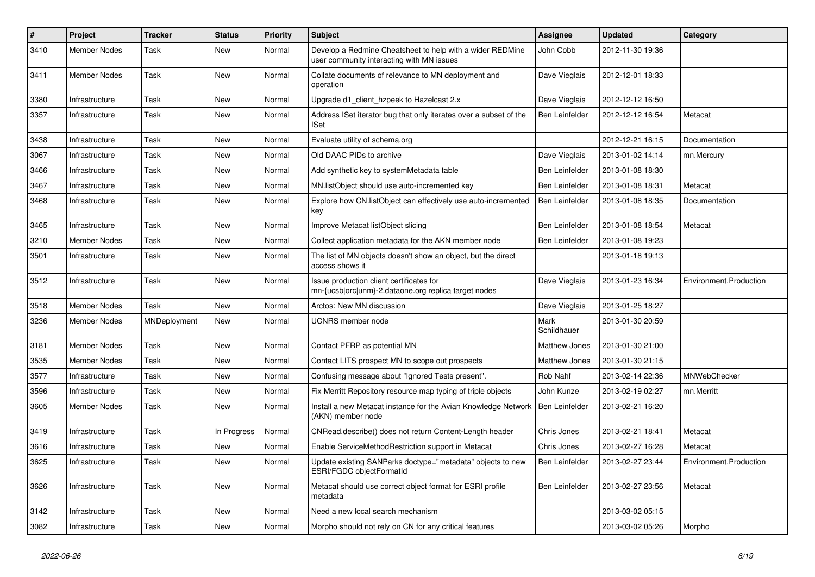| $\vert$ # | Project             | <b>Tracker</b> | <b>Status</b> | <b>Priority</b> | <b>Subject</b>                                                                                         | <b>Assignee</b>       | <b>Updated</b>   | Category               |
|-----------|---------------------|----------------|---------------|-----------------|--------------------------------------------------------------------------------------------------------|-----------------------|------------------|------------------------|
| 3410      | <b>Member Nodes</b> | Task           | New           | Normal          | Develop a Redmine Cheatsheet to help with a wider REDMine<br>user community interacting with MN issues | John Cobb             | 2012-11-30 19:36 |                        |
| 3411      | Member Nodes        | Task           | <b>New</b>    | Normal          | Collate documents of relevance to MN deployment and<br>operation                                       | Dave Vieglais         | 2012-12-01 18:33 |                        |
| 3380      | Infrastructure      | Task           | New           | Normal          | Upgrade d1_client_hzpeek to Hazelcast 2.x                                                              | Dave Vieglais         | 2012-12-12 16:50 |                        |
| 3357      | Infrastructure      | Task           | New           | Normal          | Address ISet iterator bug that only iterates over a subset of the<br><b>ISet</b>                       | Ben Leinfelder        | 2012-12-12 16:54 | Metacat                |
| 3438      | Infrastructure      | Task           | New           | Normal          | Evaluate utility of schema.org                                                                         |                       | 2012-12-21 16:15 | Documentation          |
| 3067      | Infrastructure      | Task           | New           | Normal          | Old DAAC PIDs to archive                                                                               | Dave Vieglais         | 2013-01-02 14:14 | mn.Mercury             |
| 3466      | Infrastructure      | Task           | New           | Normal          | Add synthetic key to systemMetadata table                                                              | Ben Leinfelder        | 2013-01-08 18:30 |                        |
| 3467      | Infrastructure      | Task           | New           | Normal          | MN.listObject should use auto-incremented key                                                          | <b>Ben Leinfelder</b> | 2013-01-08 18:31 | Metacat                |
| 3468      | Infrastructure      | Task           | <b>New</b>    | Normal          | Explore how CN.listObject can effectively use auto-incremented<br>key                                  | Ben Leinfelder        | 2013-01-08 18:35 | Documentation          |
| 3465      | Infrastructure      | Task           | <b>New</b>    | Normal          | Improve Metacat listObject slicing                                                                     | <b>Ben Leinfelder</b> | 2013-01-08 18:54 | Metacat                |
| 3210      | Member Nodes        | Task           | <b>New</b>    | Normal          | Collect application metadata for the AKN member node                                                   | <b>Ben Leinfelder</b> | 2013-01-08 19:23 |                        |
| 3501      | Infrastructure      | Task           | New           | Normal          | The list of MN objects doesn't show an object, but the direct<br>access shows it                       |                       | 2013-01-18 19:13 |                        |
| 3512      | Infrastructure      | Task           | New           | Normal          | Issue production client certificates for<br>mn-{ucsb orc unm}-2.dataone.org replica target nodes       | Dave Vieglais         | 2013-01-23 16:34 | Environment.Production |
| 3518      | <b>Member Nodes</b> | Task           | New           | Normal          | Arctos: New MN discussion                                                                              | Dave Vieglais         | 2013-01-25 18:27 |                        |
| 3236      | <b>Member Nodes</b> | MNDeployment   | New           | Normal          | <b>UCNRS</b> member node                                                                               | Mark<br>Schildhauer   | 2013-01-30 20:59 |                        |
| 3181      | Member Nodes        | Task           | New           | Normal          | Contact PFRP as potential MN                                                                           | Matthew Jones         | 2013-01-30 21:00 |                        |
| 3535      | Member Nodes        | Task           | New           | Normal          | Contact LITS prospect MN to scope out prospects                                                        | Matthew Jones         | 2013-01-30 21:15 |                        |
| 3577      | Infrastructure      | Task           | New           | Normal          | Confusing message about "Ignored Tests present".                                                       | Rob Nahf              | 2013-02-14 22:36 | MNWebChecker           |
| 3596      | Infrastructure      | Task           | New           | Normal          | Fix Merritt Repository resource map typing of triple objects                                           | John Kunze            | 2013-02-19 02:27 | mn.Merritt             |
| 3605      | Member Nodes        | Task           | New           | Normal          | Install a new Metacat instance for the Avian Knowledge Network  <br>(AKN) member node                  | Ben Leinfelder        | 2013-02-21 16:20 |                        |
| 3419      | Infrastructure      | Task           | In Progress   | Normal          | CNRead.describe() does not return Content-Length header                                                | Chris Jones           | 2013-02-21 18:41 | Metacat                |
| 3616      | Infrastructure      | Task           | New           | Normal          | Enable ServiceMethodRestriction support in Metacat                                                     | Chris Jones           | 2013-02-27 16:28 | Metacat                |
| 3625      | Infrastructure      | Task           | New           | Normal          | Update existing SANParks doctype="metadata" objects to new<br>ESRI/FGDC objectFormatId                 | Ben Leinfelder        | 2013-02-27 23:44 | Environment.Production |
| 3626      | Infrastructure      | Task           | New           | Normal          | Metacat should use correct object format for ESRI profile<br>metadata                                  | Ben Leinfelder        | 2013-02-27 23:56 | Metacat                |
| 3142      | Infrastructure      | Task           | New           | Normal          | Need a new local search mechanism                                                                      |                       | 2013-03-02 05:15 |                        |
| 3082      | Infrastructure      | Task           | New           | Normal          | Morpho should not rely on CN for any critical features                                                 |                       | 2013-03-02 05:26 | Morpho                 |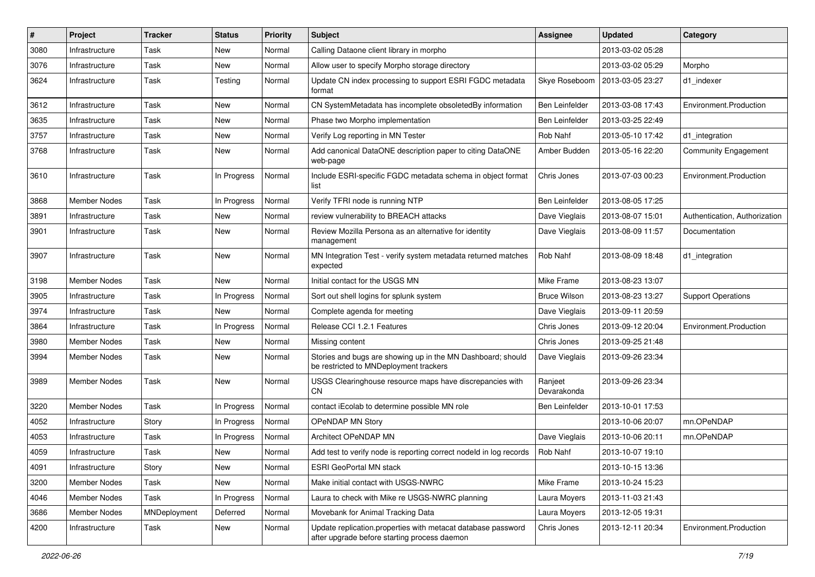| $\pmb{\#}$ | Project             | <b>Tracker</b> | <b>Status</b> | <b>Priority</b> | <b>Subject</b>                                                                                               | Assignee               | <b>Updated</b>   | Category                      |
|------------|---------------------|----------------|---------------|-----------------|--------------------------------------------------------------------------------------------------------------|------------------------|------------------|-------------------------------|
| 3080       | Infrastructure      | Task           | New           | Normal          | Calling Dataone client library in morpho                                                                     |                        | 2013-03-02 05:28 |                               |
| 3076       | Infrastructure      | Task           | New           | Normal          | Allow user to specify Morpho storage directory                                                               |                        | 2013-03-02 05:29 | Morpho                        |
| 3624       | Infrastructure      | Task           | Testing       | Normal          | Update CN index processing to support ESRI FGDC metadata<br>format                                           | Skye Roseboom          | 2013-03-05 23:27 | d1 indexer                    |
| 3612       | Infrastructure      | Task           | New           | Normal          | CN SystemMetadata has incomplete obsoletedBy information                                                     | Ben Leinfelder         | 2013-03-08 17:43 | Environment.Production        |
| 3635       | Infrastructure      | Task           | New           | Normal          | Phase two Morpho implementation                                                                              | Ben Leinfelder         | 2013-03-25 22:49 |                               |
| 3757       | Infrastructure      | Task           | New           | Normal          | Verify Log reporting in MN Tester                                                                            | Rob Nahf               | 2013-05-10 17:42 | d1_integration                |
| 3768       | Infrastructure      | Task           | New           | Normal          | Add canonical DataONE description paper to citing DataONE<br>web-page                                        | Amber Budden           | 2013-05-16 22:20 | Community Engagement          |
| 3610       | Infrastructure      | Task           | In Progress   | Normal          | Include ESRI-specific FGDC metadata schema in object format<br>list                                          | Chris Jones            | 2013-07-03 00:23 | Environment.Production        |
| 3868       | <b>Member Nodes</b> | Task           | In Progress   | Normal          | Verify TFRI node is running NTP                                                                              | Ben Leinfelder         | 2013-08-05 17:25 |                               |
| 3891       | Infrastructure      | Task           | New           | Normal          | review vulnerability to BREACH attacks                                                                       | Dave Vieglais          | 2013-08-07 15:01 | Authentication, Authorization |
| 3901       | Infrastructure      | Task           | New           | Normal          | Review Mozilla Persona as an alternative for identity<br>management                                          | Dave Vieglais          | 2013-08-09 11:57 | Documentation                 |
| 3907       | Infrastructure      | Task           | New           | Normal          | MN Integration Test - verify system metadata returned matches<br>expected                                    | Rob Nahf               | 2013-08-09 18:48 | d1 integration                |
| 3198       | <b>Member Nodes</b> | Task           | <b>New</b>    | Normal          | Initial contact for the USGS MN                                                                              | Mike Frame             | 2013-08-23 13:07 |                               |
| 3905       | Infrastructure      | Task           | In Progress   | Normal          | Sort out shell logins for splunk system                                                                      | <b>Bruce Wilson</b>    | 2013-08-23 13:27 | <b>Support Operations</b>     |
| 3974       | Infrastructure      | Task           | New           | Normal          | Complete agenda for meeting                                                                                  | Dave Vieglais          | 2013-09-11 20:59 |                               |
| 3864       | Infrastructure      | Task           | In Progress   | Normal          | Release CCI 1.2.1 Features                                                                                   | Chris Jones            | 2013-09-12 20:04 | Environment.Production        |
| 3980       | Member Nodes        | Task           | New           | Normal          | Missing content                                                                                              | Chris Jones            | 2013-09-25 21:48 |                               |
| 3994       | Member Nodes        | Task           | New           | Normal          | Stories and bugs are showing up in the MN Dashboard; should<br>be restricted to MNDeployment trackers        | Dave Vieglais          | 2013-09-26 23:34 |                               |
| 3989       | <b>Member Nodes</b> | Task           | New           | Normal          | USGS Clearinghouse resource maps have discrepancies with<br><b>CN</b>                                        | Ranjeet<br>Devarakonda | 2013-09-26 23:34 |                               |
| 3220       | <b>Member Nodes</b> | Task           | In Progress   | Normal          | contact iEcolab to determine possible MN role                                                                | Ben Leinfelder         | 2013-10-01 17:53 |                               |
| 4052       | Infrastructure      | Story          | In Progress   | Normal          | OPeNDAP MN Story                                                                                             |                        | 2013-10-06 20:07 | mn.OPeNDAP                    |
| 4053       | Infrastructure      | Task           | In Progress   | Normal          | <b>Architect OPeNDAP MN</b>                                                                                  | Dave Vieglais          | 2013-10-06 20:11 | mn.OPeNDAP                    |
| 4059       | Infrastructure      | Task           | New           | Normal          | Add test to verify node is reporting correct nodeld in log records                                           | Rob Nahf               | 2013-10-07 19:10 |                               |
| 4091       | Infrastructure      | Story          | New           | Normal          | <b>ESRI GeoPortal MN stack</b>                                                                               |                        | 2013-10-15 13:36 |                               |
| 3200       | Member Nodes        | Task           | New           | Normal          | Make initial contact with USGS-NWRC                                                                          | Mike Frame             | 2013-10-24 15:23 |                               |
| 4046       | Member Nodes        | Task           | In Progress   | Normal          | Laura to check with Mike re USGS-NWRC planning                                                               | Laura Moyers           | 2013-11-03 21:43 |                               |
| 3686       | Member Nodes        | MNDeployment   | Deferred      | Normal          | Movebank for Animal Tracking Data                                                                            | Laura Moyers           | 2013-12-05 19:31 |                               |
| 4200       | Infrastructure      | Task           | New           | Normal          | Update replication.properties with metacat database password<br>after upgrade before starting process daemon | Chris Jones            | 2013-12-11 20:34 | Environment.Production        |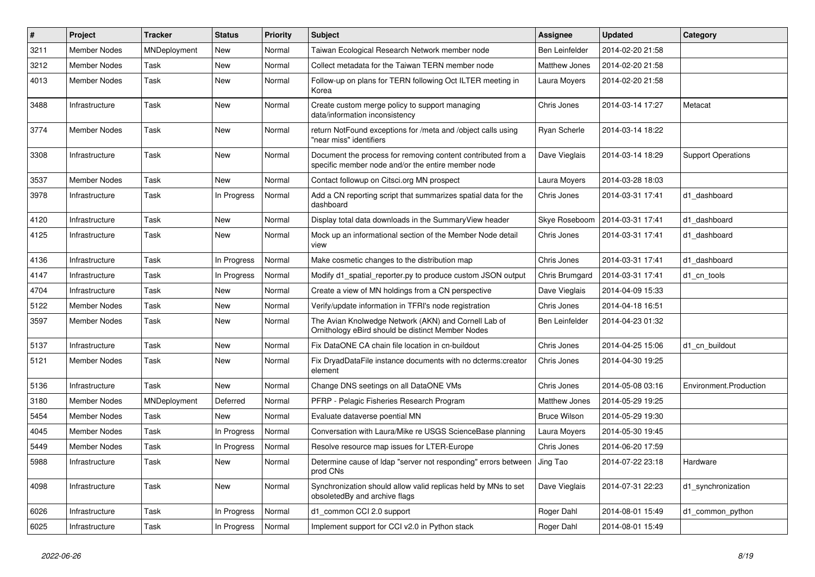| $\vert$ # | Project             | <b>Tracker</b> | <b>Status</b> | <b>Priority</b> | <b>Subject</b>                                                                                                     | <b>Assignee</b>       | <b>Updated</b>   | Category                  |
|-----------|---------------------|----------------|---------------|-----------------|--------------------------------------------------------------------------------------------------------------------|-----------------------|------------------|---------------------------|
| 3211      | <b>Member Nodes</b> | MNDeployment   | New           | Normal          | Taiwan Ecological Research Network member node                                                                     | <b>Ben Leinfelder</b> | 2014-02-20 21:58 |                           |
| 3212      | Member Nodes        | Task           | <b>New</b>    | Normal          | Collect metadata for the Taiwan TERN member node                                                                   | Matthew Jones         | 2014-02-20 21:58 |                           |
| 4013      | <b>Member Nodes</b> | Task           | <b>New</b>    | Normal          | Follow-up on plans for TERN following Oct ILTER meeting in<br>Korea                                                | Laura Moyers          | 2014-02-20 21:58 |                           |
| 3488      | Infrastructure      | Task           | New           | Normal          | Create custom merge policy to support managing<br>data/information inconsistency                                   | Chris Jones           | 2014-03-14 17:27 | Metacat                   |
| 3774      | Member Nodes        | Task           | New           | Normal          | return NotFound exceptions for /meta and /object calls using<br>"near miss" identifiers                            | Ryan Scherle          | 2014-03-14 18:22 |                           |
| 3308      | Infrastructure      | Task           | <b>New</b>    | Normal          | Document the process for removing content contributed from a<br>specific member node and/or the entire member node | Dave Vieglais         | 2014-03-14 18:29 | <b>Support Operations</b> |
| 3537      | <b>Member Nodes</b> | Task           | New           | Normal          | Contact followup on Citsci.org MN prospect                                                                         | Laura Moyers          | 2014-03-28 18:03 |                           |
| 3978      | Infrastructure      | Task           | In Progress   | Normal          | Add a CN reporting script that summarizes spatial data for the<br>dashboard                                        | Chris Jones           | 2014-03-31 17:41 | d1 dashboard              |
| 4120      | Infrastructure      | Task           | New           | Normal          | Display total data downloads in the SummaryView header                                                             | Skye Roseboom         | 2014-03-31 17:41 | d1 dashboard              |
| 4125      | Infrastructure      | Task           | New           | Normal          | Mock up an informational section of the Member Node detail<br>view                                                 | Chris Jones           | 2014-03-31 17:41 | d1 dashboard              |
| 4136      | Infrastructure      | Task           | In Progress   | Normal          | Make cosmetic changes to the distribution map                                                                      | Chris Jones           | 2014-03-31 17:41 | d1 dashboard              |
| 4147      | Infrastructure      | Task           | In Progress   | Normal          | Modify d1_spatial_reporter.py to produce custom JSON output                                                        | Chris Brumgard        | 2014-03-31 17:41 | d1 cn tools               |
| 4704      | Infrastructure      | Task           | New           | Normal          | Create a view of MN holdings from a CN perspective                                                                 | Dave Vieglais         | 2014-04-09 15:33 |                           |
| 5122      | <b>Member Nodes</b> | Task           | New           | Normal          | Verify/update information in TFRI's node registration                                                              | Chris Jones           | 2014-04-18 16:51 |                           |
| 3597      | <b>Member Nodes</b> | Task           | <b>New</b>    | Normal          | The Avian Knolwedge Network (AKN) and Cornell Lab of<br>Ornithology eBird should be distinct Member Nodes          | <b>Ben Leinfelder</b> | 2014-04-23 01:32 |                           |
| 5137      | Infrastructure      | Task           | <b>New</b>    | Normal          | Fix DataONE CA chain file location in cn-buildout                                                                  | Chris Jones           | 2014-04-25 15:06 | d1 cn buildout            |
| 5121      | Member Nodes        | Task           | New           | Normal          | Fix DryadDataFile instance documents with no dcterms: creator<br>element                                           | Chris Jones           | 2014-04-30 19:25 |                           |
| 5136      | Infrastructure      | Task           | New           | Normal          | Change DNS seetings on all DataONE VMs                                                                             | Chris Jones           | 2014-05-08 03:16 | Environment.Production    |
| 3180      | <b>Member Nodes</b> | MNDeployment   | Deferred      | Normal          | PFRP - Pelagic Fisheries Research Program                                                                          | Matthew Jones         | 2014-05-29 19:25 |                           |
| 5454      | <b>Member Nodes</b> | Task           | New           | Normal          | Evaluate dataverse poential MN                                                                                     | <b>Bruce Wilson</b>   | 2014-05-29 19:30 |                           |
| 4045      | <b>Member Nodes</b> | Task           | In Progress   | Normal          | Conversation with Laura/Mike re USGS ScienceBase planning                                                          | Laura Moyers          | 2014-05-30 19:45 |                           |
| 5449      | <b>Member Nodes</b> | Task           | In Progress   | Normal          | Resolve resource map issues for LTER-Europe                                                                        | Chris Jones           | 2014-06-20 17:59 |                           |
| 5988      | Infrastructure      | Task           | New           | Normal          | Determine cause of Idap "server not responding" errors between<br>prod CNs                                         | Jing Tao              | 2014-07-22 23:18 | Hardware                  |
| 4098      | Infrastructure      | Task           | <b>New</b>    | Normal          | Synchronization should allow valid replicas held by MNs to set<br>obsoletedBy and archive flags                    | Dave Vieglais         | 2014-07-31 22:23 | d1 synchronization        |
| 6026      | Infrastructure      | Task           | In Progress   | Normal          | d1_common CCI 2.0 support                                                                                          | Roger Dahl            | 2014-08-01 15:49 | d1 common python          |
| 6025      | Infrastructure      | Task           | In Progress   | Normal          | Implement support for CCI v2.0 in Python stack                                                                     | Roger Dahl            | 2014-08-01 15:49 |                           |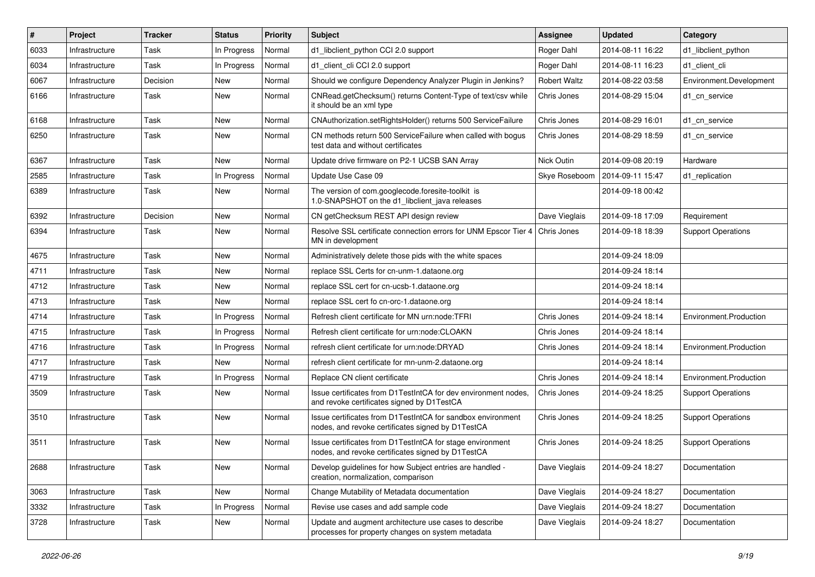| $\vert$ # | Project        | <b>Tracker</b> | <b>Status</b> | <b>Priority</b> | <b>Subject</b>                                                                                                   | Assignee            | <b>Updated</b>   | Category                  |
|-----------|----------------|----------------|---------------|-----------------|------------------------------------------------------------------------------------------------------------------|---------------------|------------------|---------------------------|
| 6033      | Infrastructure | Task           | In Progress   | Normal          | d1_libclient_python CCI 2.0 support                                                                              | Roger Dahl          | 2014-08-11 16:22 | d1 libclient python       |
| 6034      | Infrastructure | Task           | In Progress   | Normal          | d1_client_cli CCI 2.0 support                                                                                    | Roger Dahl          | 2014-08-11 16:23 | d1 client cli             |
| 6067      | Infrastructure | Decision       | New           | Normal          | Should we configure Dependency Analyzer Plugin in Jenkins?                                                       | <b>Robert Waltz</b> | 2014-08-22 03:58 | Environment.Development   |
| 6166      | Infrastructure | Task           | New           | Normal          | CNRead.getChecksum() returns Content-Type of text/csv while<br>it should be an xml type                          | Chris Jones         | 2014-08-29 15:04 | d1 cn service             |
| 6168      | Infrastructure | Task           | New           | Normal          | CNAuthorization.setRightsHolder() returns 500 ServiceFailure                                                     | Chris Jones         | 2014-08-29 16:01 | d1 cn service             |
| 6250      | Infrastructure | Task           | New           | Normal          | CN methods return 500 ServiceFailure when called with bogus<br>test data and without certificates                | Chris Jones         | 2014-08-29 18:59 | d1 cn service             |
| 6367      | Infrastructure | Task           | New           | Normal          | Update drive firmware on P2-1 UCSB SAN Array                                                                     | Nick Outin          | 2014-09-08 20:19 | Hardware                  |
| 2585      | Infrastructure | Task           | In Progress   | Normal          | Update Use Case 09                                                                                               | Skye Roseboom       | 2014-09-11 15:47 | d1 replication            |
| 6389      | Infrastructure | Task           | New           | Normal          | The version of com.googlecode.foresite-toolkit is<br>1.0-SNAPSHOT on the d1_libclient_java releases              |                     | 2014-09-18 00:42 |                           |
| 6392      | Infrastructure | Decision       | New           | Normal          | CN getChecksum REST API design review                                                                            | Dave Vieglais       | 2014-09-18 17:09 | Requirement               |
| 6394      | Infrastructure | Task           | New           | Normal          | Resolve SSL certificate connection errors for UNM Epscor Tier 4<br>MN in development                             | Chris Jones         | 2014-09-18 18:39 | <b>Support Operations</b> |
| 4675      | Infrastructure | Task           | <b>New</b>    | Normal          | Administratively delete those pids with the white spaces                                                         |                     | 2014-09-24 18:09 |                           |
| 4711      | Infrastructure | Task           | New           | Normal          | replace SSL Certs for cn-unm-1.dataone.org                                                                       |                     | 2014-09-24 18:14 |                           |
| 4712      | Infrastructure | Task           | New           | Normal          | replace SSL cert for cn-ucsb-1.dataone.org                                                                       |                     | 2014-09-24 18:14 |                           |
| 4713      | Infrastructure | Task           | New           | Normal          | replace SSL cert fo cn-orc-1.dataone.org                                                                         |                     | 2014-09-24 18:14 |                           |
| 4714      | Infrastructure | Task           | In Progress   | Normal          | Refresh client certificate for MN urn:node:TFRI                                                                  | Chris Jones         | 2014-09-24 18:14 | Environment.Production    |
| 4715      | Infrastructure | Task           | In Progress   | Normal          | Refresh client certificate for urn:node:CLOAKN                                                                   | Chris Jones         | 2014-09-24 18:14 |                           |
| 4716      | Infrastructure | Task           | In Progress   | Normal          | refresh client certificate for urn:node:DRYAD                                                                    | Chris Jones         | 2014-09-24 18:14 | Environment.Production    |
| 4717      | Infrastructure | Task           | New           | Normal          | refresh client certificate for mn-unm-2.dataone.org                                                              |                     | 2014-09-24 18:14 |                           |
| 4719      | Infrastructure | Task           | In Progress   | Normal          | Replace CN client certificate                                                                                    | Chris Jones         | 2014-09-24 18:14 | Environment.Production    |
| 3509      | Infrastructure | Task           | New           | Normal          | Issue certificates from D1TestIntCA for dev environment nodes,<br>and revoke certificates signed by D1TestCA     | Chris Jones         | 2014-09-24 18:25 | <b>Support Operations</b> |
| 3510      | Infrastructure | Task           | New           | Normal          | Issue certificates from D1TestIntCA for sandbox environment<br>nodes, and revoke certificates signed by D1TestCA | Chris Jones         | 2014-09-24 18:25 | <b>Support Operations</b> |
| 3511      | Infrastructure | Task           | New           | Normal          | Issue certificates from D1TestIntCA for stage environment<br>nodes, and revoke certificates signed by D1TestCA   | Chris Jones         | 2014-09-24 18:25 | <b>Support Operations</b> |
| 2688      | Infrastructure | Task           | New           | Normal          | Develop guidelines for how Subject entries are handled -<br>creation, normalization, comparison                  | Dave Vieglais       | 2014-09-24 18:27 | Documentation             |
| 3063      | Infrastructure | Task           | New           | Normal          | Change Mutability of Metadata documentation                                                                      | Dave Vieglais       | 2014-09-24 18:27 | Documentation             |
| 3332      | Infrastructure | Task           | In Progress   | Normal          | Revise use cases and add sample code                                                                             | Dave Vieglais       | 2014-09-24 18:27 | Documentation             |
| 3728      | Infrastructure | Task           | New           | Normal          | Update and augment architecture use cases to describe<br>processes for property changes on system metadata       | Dave Vieglais       | 2014-09-24 18:27 | Documentation             |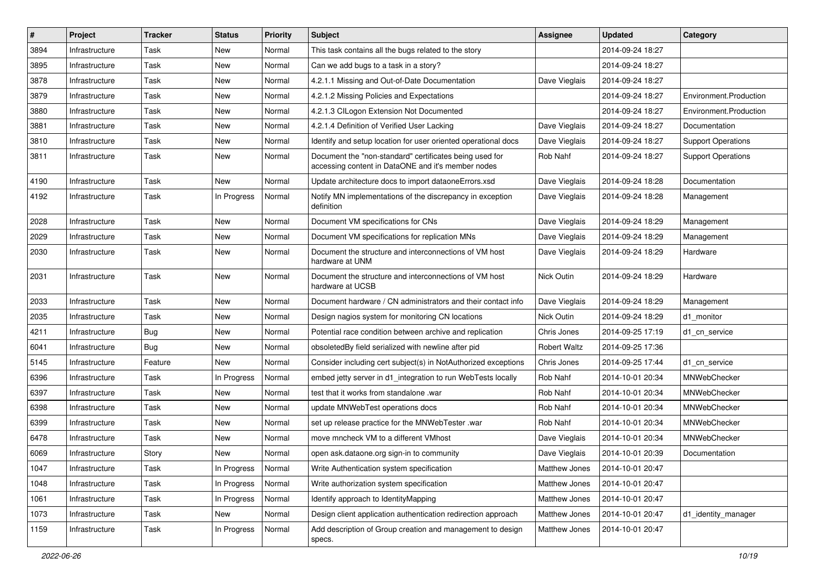| $\#$ | Project        | <b>Tracker</b> | <b>Status</b> | <b>Priority</b> | <b>Subject</b>                                                                                                | Assignee            | <b>Updated</b>   | Category                  |
|------|----------------|----------------|---------------|-----------------|---------------------------------------------------------------------------------------------------------------|---------------------|------------------|---------------------------|
| 3894 | Infrastructure | Task           | New           | Normal          | This task contains all the bugs related to the story                                                          |                     | 2014-09-24 18:27 |                           |
| 3895 | Infrastructure | Task           | <b>New</b>    | Normal          | Can we add bugs to a task in a story?                                                                         |                     | 2014-09-24 18:27 |                           |
| 3878 | Infrastructure | Task           | New           | Normal          | 4.2.1.1 Missing and Out-of-Date Documentation                                                                 | Dave Vieglais       | 2014-09-24 18:27 |                           |
| 3879 | Infrastructure | Task           | New           | Normal          | 4.2.1.2 Missing Policies and Expectations                                                                     |                     | 2014-09-24 18:27 | Environment.Production    |
| 3880 | Infrastructure | Task           | New           | Normal          | 4.2.1.3 CILogon Extension Not Documented                                                                      |                     | 2014-09-24 18:27 | Environment.Production    |
| 3881 | Infrastructure | Task           | New           | Normal          | 4.2.1.4 Definition of Verified User Lacking                                                                   | Dave Vieglais       | 2014-09-24 18:27 | Documentation             |
| 3810 | Infrastructure | Task           | New           | Normal          | Identify and setup location for user oriented operational docs                                                | Dave Vieglais       | 2014-09-24 18:27 | <b>Support Operations</b> |
| 3811 | Infrastructure | Task           | New           | Normal          | Document the "non-standard" certificates being used for<br>accessing content in DataONE and it's member nodes | Rob Nahf            | 2014-09-24 18:27 | <b>Support Operations</b> |
| 4190 | Infrastructure | Task           | New           | Normal          | Update architecture docs to import dataoneErrors.xsd                                                          | Dave Vieglais       | 2014-09-24 18:28 | Documentation             |
| 4192 | Infrastructure | Task           | In Progress   | Normal          | Notify MN implementations of the discrepancy in exception<br>definition                                       | Dave Vieglais       | 2014-09-24 18:28 | Management                |
| 2028 | Infrastructure | Task           | <b>New</b>    | Normal          | Document VM specifications for CNs                                                                            | Dave Vieglais       | 2014-09-24 18:29 | Management                |
| 2029 | Infrastructure | Task           | New           | Normal          | Document VM specifications for replication MNs                                                                | Dave Vieglais       | 2014-09-24 18:29 | Management                |
| 2030 | Infrastructure | Task           | New           | Normal          | Document the structure and interconnections of VM host<br>hardware at UNM                                     | Dave Vieglais       | 2014-09-24 18:29 | Hardware                  |
| 2031 | Infrastructure | Task           | New           | Normal          | Document the structure and interconnections of VM host<br>hardware at UCSB                                    | Nick Outin          | 2014-09-24 18:29 | Hardware                  |
| 2033 | Infrastructure | Task           | New           | Normal          | Document hardware / CN administrators and their contact info                                                  | Dave Vieglais       | 2014-09-24 18:29 | Management                |
| 2035 | Infrastructure | Task           | New           | Normal          | Design nagios system for monitoring CN locations                                                              | Nick Outin          | 2014-09-24 18:29 | d1 monitor                |
| 4211 | Infrastructure | <b>Bug</b>     | New           | Normal          | Potential race condition between archive and replication                                                      | Chris Jones         | 2014-09-25 17:19 | d1 cn service             |
| 6041 | Infrastructure | <b>Bug</b>     | New           | Normal          | obsoletedBy field serialized with newline after pid                                                           | <b>Robert Waltz</b> | 2014-09-25 17:36 |                           |
| 5145 | Infrastructure | Feature        | New           | Normal          | Consider including cert subject(s) in NotAuthorized exceptions                                                | Chris Jones         | 2014-09-25 17:44 | d1 cn service             |
| 6396 | Infrastructure | Task           | In Progress   | Normal          | embed jetty server in d1 integration to run WebTests locally                                                  | Rob Nahf            | 2014-10-01 20:34 | MNWebChecker              |
| 6397 | Infrastructure | Task           | New           | Normal          | test that it works from standalone .war                                                                       | Rob Nahf            | 2014-10-01 20:34 | MNWebChecker              |
| 6398 | Infrastructure | Task           | New           | Normal          | update MNWebTest operations docs                                                                              | Rob Nahf            | 2014-10-01 20:34 | MNWebChecker              |
| 6399 | Infrastructure | Task           | New           | Normal          | set up release practice for the MNWebTester .war                                                              | Rob Nahf            | 2014-10-01 20:34 | MNWebChecker              |
| 6478 | Infrastructure | Task           | New           | Normal          | move mncheck VM to a different VMhost                                                                         | Dave Vieglais       | 2014-10-01 20:34 | MNWebChecker              |
| 6069 | Infrastructure | Story          | New           | Normal          | open ask.dataone.org sign-in to community                                                                     | Dave Vieglais       | 2014-10-01 20:39 | Documentation             |
| 1047 | Infrastructure | Task           | In Progress   | Normal          | Write Authentication system specification                                                                     | Matthew Jones       | 2014-10-01 20:47 |                           |
| 1048 | Infrastructure | Task           | In Progress   | Normal          | Write authorization system specification                                                                      | Matthew Jones       | 2014-10-01 20:47 |                           |
| 1061 | Infrastructure | Task           | In Progress   | Normal          | Identify approach to IdentityMapping                                                                          | Matthew Jones       | 2014-10-01 20:47 |                           |
| 1073 | Infrastructure | Task           | New           | Normal          | Design client application authentication redirection approach                                                 | Matthew Jones       | 2014-10-01 20:47 | d1_identity_manager       |
| 1159 | Infrastructure | Task           | In Progress   | Normal          | Add description of Group creation and management to design<br>specs.                                          | Matthew Jones       | 2014-10-01 20:47 |                           |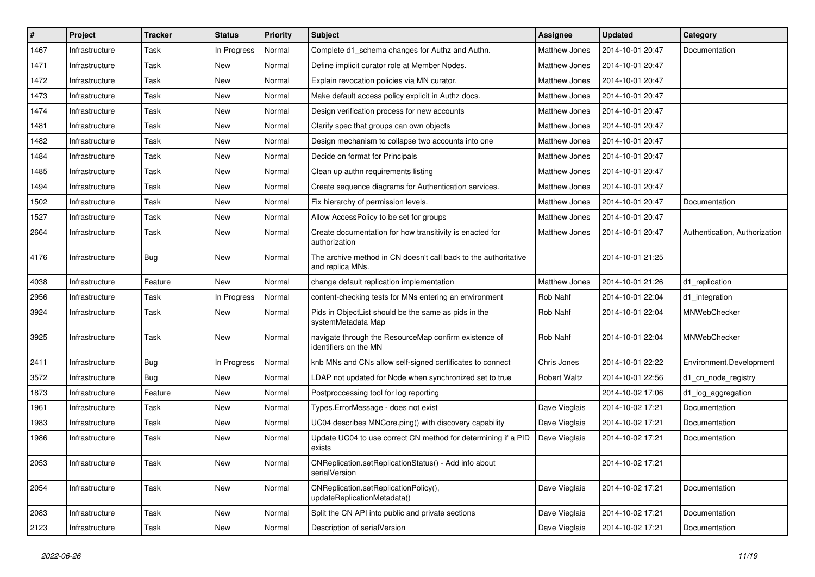| #    | Project        | Tracker | <b>Status</b> | <b>Priority</b> | <b>Subject</b>                                                                      | <b>Assignee</b> | <b>Updated</b>   | Category                      |
|------|----------------|---------|---------------|-----------------|-------------------------------------------------------------------------------------|-----------------|------------------|-------------------------------|
| 1467 | Infrastructure | Task    | In Progress   | Normal          | Complete d1_schema changes for Authz and Authn.                                     | Matthew Jones   | 2014-10-01 20:47 | Documentation                 |
| 1471 | Infrastructure | Task    | <b>New</b>    | Normal          | Define implicit curator role at Member Nodes.                                       | Matthew Jones   | 2014-10-01 20:47 |                               |
| 1472 | Infrastructure | Task    | New           | Normal          | Explain revocation policies via MN curator.                                         | Matthew Jones   | 2014-10-01 20:47 |                               |
| 1473 | Infrastructure | Task    | New           | Normal          | Make default access policy explicit in Authz docs.                                  | Matthew Jones   | 2014-10-01 20:47 |                               |
| 1474 | Infrastructure | Task    | <b>New</b>    | Normal          | Design verification process for new accounts                                        | Matthew Jones   | 2014-10-01 20:47 |                               |
| 1481 | Infrastructure | Task    | New           | Normal          | Clarify spec that groups can own objects                                            | Matthew Jones   | 2014-10-01 20:47 |                               |
| 1482 | Infrastructure | Task    | New           | Normal          | Design mechanism to collapse two accounts into one                                  | Matthew Jones   | 2014-10-01 20:47 |                               |
| 1484 | Infrastructure | Task    | New           | Normal          | Decide on format for Principals                                                     | Matthew Jones   | 2014-10-01 20:47 |                               |
| 1485 | Infrastructure | Task    | New           | Normal          | Clean up authn requirements listing                                                 | Matthew Jones   | 2014-10-01 20:47 |                               |
| 1494 | Infrastructure | Task    | <b>New</b>    | Normal          | Create sequence diagrams for Authentication services.                               | Matthew Jones   | 2014-10-01 20:47 |                               |
| 1502 | Infrastructure | Task    | New           | Normal          | Fix hierarchy of permission levels.                                                 | Matthew Jones   | 2014-10-01 20:47 | Documentation                 |
| 1527 | Infrastructure | Task    | <b>New</b>    | Normal          | Allow AccessPolicy to be set for groups                                             | Matthew Jones   | 2014-10-01 20:47 |                               |
| 2664 | Infrastructure | Task    | New           | Normal          | Create documentation for how transitivity is enacted for<br>authorization           | Matthew Jones   | 2014-10-01 20:47 | Authentication, Authorization |
| 4176 | Infrastructure | Bug     | New           | Normal          | The archive method in CN doesn't call back to the authoritative<br>and replica MNs. |                 | 2014-10-01 21:25 |                               |
| 4038 | Infrastructure | Feature | New           | Normal          | change default replication implementation                                           | Matthew Jones   | 2014-10-01 21:26 | d1 replication                |
| 2956 | Infrastructure | Task    | In Progress   | Normal          | content-checking tests for MNs entering an environment                              | Rob Nahf        | 2014-10-01 22:04 | d1 integration                |
| 3924 | Infrastructure | Task    | New           | Normal          | Pids in ObjectList should be the same as pids in the<br>systemMetadata Map          | Rob Nahf        | 2014-10-01 22:04 | MNWebChecker                  |
| 3925 | Infrastructure | Task    | New           | Normal          | navigate through the ResourceMap confirm existence of<br>identifiers on the MN      | Rob Nahf        | 2014-10-01 22:04 | MNWebChecker                  |
| 2411 | Infrastructure | Bug     | In Progress   | Normal          | knb MNs and CNs allow self-signed certificates to connect                           | Chris Jones     | 2014-10-01 22:22 | Environment.Development       |
| 3572 | Infrastructure | Bug     | New           | Normal          | LDAP not updated for Node when synchronized set to true                             | Robert Waltz    | 2014-10-01 22:56 | d1 cn node registry           |
| 1873 | Infrastructure | Feature | New           | Normal          | Postproccessing tool for log reporting                                              |                 | 2014-10-02 17:06 | d1_log_aggregation            |
| 1961 | Infrastructure | Task    | New           | Normal          | Types.ErrorMessage - does not exist                                                 | Dave Vieglais   | 2014-10-02 17:21 | Documentation                 |
| 1983 | Infrastructure | Task    | New           | Normal          | UC04 describes MNCore.ping() with discovery capability                              | Dave Vieglais   | 2014-10-02 17:21 | Documentation                 |
| 1986 | Infrastructure | Task    | New           | Normal          | Update UC04 to use correct CN method for determining if a PID<br>exists             | Dave Vieglais   | 2014-10-02 17:21 | Documentation                 |
| 2053 | Infrastructure | Task    | New           | Normal          | CNReplication.setReplicationStatus() - Add info about<br>serialVersion              |                 | 2014-10-02 17:21 |                               |
| 2054 | Infrastructure | Task    | New           | Normal          | CNReplication.setReplicationPolicy(),<br>updateReplicationMetadata()                | Dave Vieglais   | 2014-10-02 17:21 | Documentation                 |
| 2083 | Infrastructure | Task    | New           | Normal          | Split the CN API into public and private sections                                   | Dave Vieglais   | 2014-10-02 17:21 | Documentation                 |
| 2123 | Infrastructure | Task    | New           | Normal          | Description of serialVersion                                                        | Dave Vieglais   | 2014-10-02 17:21 | Documentation                 |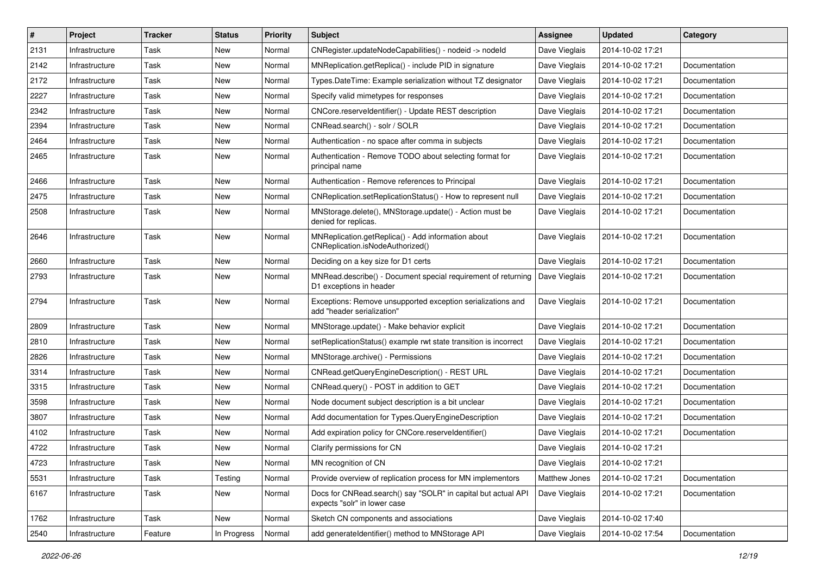| $\#$ | Project        | <b>Tracker</b> | <b>Status</b> | <b>Priority</b> | Subject                                                                                       | <b>Assignee</b> | <b>Updated</b>   | Category      |
|------|----------------|----------------|---------------|-----------------|-----------------------------------------------------------------------------------------------|-----------------|------------------|---------------|
| 2131 | Infrastructure | Task           | New           | Normal          | CNRegister.updateNodeCapabilities() - nodeid -> nodeld                                        | Dave Vieglais   | 2014-10-02 17:21 |               |
| 2142 | Infrastructure | Task           | New           | Normal          | MNReplication.getReplica() - include PID in signature                                         | Dave Vieglais   | 2014-10-02 17:21 | Documentation |
| 2172 | Infrastructure | Task           | New           | Normal          | Types.DateTime: Example serialization without TZ designator                                   | Dave Vieglais   | 2014-10-02 17:21 | Documentation |
| 2227 | Infrastructure | Task           | New           | Normal          | Specify valid mimetypes for responses                                                         | Dave Vieglais   | 2014-10-02 17:21 | Documentation |
| 2342 | Infrastructure | Task           | New           | Normal          | CNCore.reserveldentifier() - Update REST description                                          | Dave Vieglais   | 2014-10-02 17:21 | Documentation |
| 2394 | Infrastructure | Task           | New           | Normal          | CNRead.search() - solr / SOLR                                                                 | Dave Vieglais   | 2014-10-02 17:21 | Documentation |
| 2464 | Infrastructure | Task           | New           | Normal          | Authentication - no space after comma in subjects                                             | Dave Vieglais   | 2014-10-02 17:21 | Documentation |
| 2465 | Infrastructure | Task           | New           | Normal          | Authentication - Remove TODO about selecting format for<br>principal name                     | Dave Vieglais   | 2014-10-02 17:21 | Documentation |
| 2466 | Infrastructure | Task           | New           | Normal          | Authentication - Remove references to Principal                                               | Dave Vieglais   | 2014-10-02 17:21 | Documentation |
| 2475 | Infrastructure | Task           | New           | Normal          | CNReplication.setReplicationStatus() - How to represent null                                  | Dave Vieglais   | 2014-10-02 17:21 | Documentation |
| 2508 | Infrastructure | Task           | New           | Normal          | MNStorage.delete(), MNStorage.update() - Action must be<br>denied for replicas.               | Dave Vieglais   | 2014-10-02 17:21 | Documentation |
| 2646 | Infrastructure | Task           | New           | Normal          | MNReplication.getReplica() - Add information about<br>CNReplication.isNodeAuthorized()        | Dave Vieglais   | 2014-10-02 17:21 | Documentation |
| 2660 | Infrastructure | Task           | New           | Normal          | Deciding on a key size for D1 certs                                                           | Dave Vieglais   | 2014-10-02 17:21 | Documentation |
| 2793 | Infrastructure | Task           | New           | Normal          | MNRead.describe() - Document special requirement of returning<br>D1 exceptions in header      | Dave Vieglais   | 2014-10-02 17:21 | Documentation |
| 2794 | Infrastructure | Task           | New           | Normal          | Exceptions: Remove unsupported exception serializations and<br>add "header serialization"     | Dave Vieglais   | 2014-10-02 17:21 | Documentation |
| 2809 | Infrastructure | Task           | New           | Normal          | MNStorage.update() - Make behavior explicit                                                   | Dave Vieglais   | 2014-10-02 17:21 | Documentation |
| 2810 | Infrastructure | Task           | New           | Normal          | setReplicationStatus() example rwt state transition is incorrect                              | Dave Vieglais   | 2014-10-02 17:21 | Documentation |
| 2826 | Infrastructure | Task           | New           | Normal          | MNStorage.archive() - Permissions                                                             | Dave Vieglais   | 2014-10-02 17:21 | Documentation |
| 3314 | Infrastructure | Task           | New           | Normal          | CNRead.getQueryEngineDescription() - REST URL                                                 | Dave Vieglais   | 2014-10-02 17:21 | Documentation |
| 3315 | Infrastructure | Task           | New           | Normal          | CNRead.query() - POST in addition to GET                                                      | Dave Vieglais   | 2014-10-02 17:21 | Documentation |
| 3598 | Infrastructure | Task           | New           | Normal          | Node document subject description is a bit unclear                                            | Dave Vieglais   | 2014-10-02 17:21 | Documentation |
| 3807 | Infrastructure | Task           | New           | Normal          | Add documentation for Types.QueryEngineDescription                                            | Dave Vieglais   | 2014-10-02 17:21 | Documentation |
| 4102 | Infrastructure | Task           | New           | Normal          | Add expiration policy for CNCore.reserveldentifier()                                          | Dave Vieglais   | 2014-10-02 17:21 | Documentation |
| 4722 | Infrastructure | Task           | New           | Normal          | Clarify permissions for CN                                                                    | Dave Vieglais   | 2014-10-02 17:21 |               |
| 4723 | Infrastructure | Task           | New           | Normal          | MN recognition of CN                                                                          | Dave Vieglais   | 2014-10-02 17:21 |               |
| 5531 | Infrastructure | Task           | Testing       | Normal          | Provide overview of replication process for MN implementors                                   | Matthew Jones   | 2014-10-02 17:21 | Documentation |
| 6167 | Infrastructure | Task           | New           | Normal          | Docs for CNRead.search() say "SOLR" in capital but actual API<br>expects "solr" in lower case | Dave Vieglais   | 2014-10-02 17:21 | Documentation |
| 1762 | Infrastructure | Task           | New           | Normal          | Sketch CN components and associations                                                         | Dave Vieglais   | 2014-10-02 17:40 |               |
| 2540 | Infrastructure | Feature        | In Progress   | Normal          | add generateIdentifier() method to MNStorage API                                              | Dave Vieglais   | 2014-10-02 17:54 | Documentation |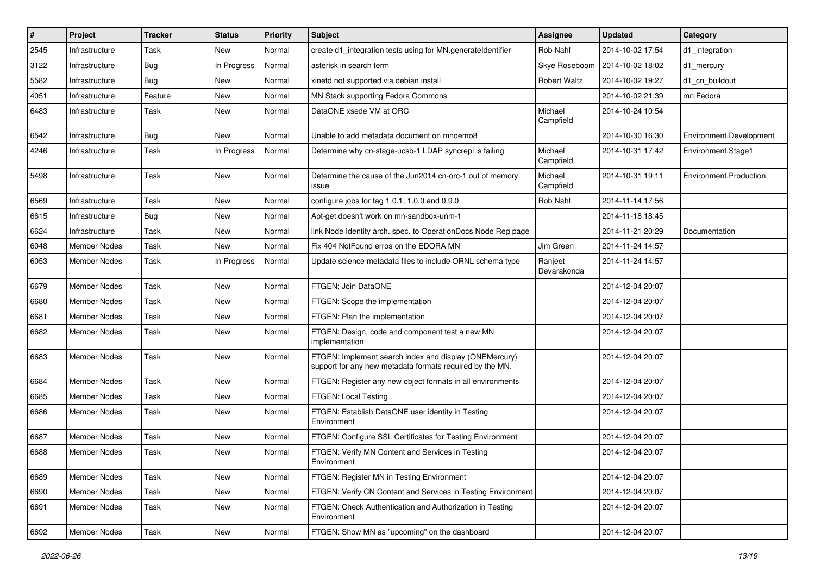| #    | Project             | <b>Tracker</b> | <b>Status</b> | <b>Priority</b> | Subject                                                                                                            | Assignee               | <b>Updated</b>   | Category                |
|------|---------------------|----------------|---------------|-----------------|--------------------------------------------------------------------------------------------------------------------|------------------------|------------------|-------------------------|
| 2545 | Infrastructure      | Task           | New           | Normal          | create d1 integration tests using for MN generateldentifier                                                        | Rob Nahf               | 2014-10-02 17:54 | d1 integration          |
| 3122 | Infrastructure      | Bug            | In Progress   | Normal          | asterisk in search term                                                                                            | Skye Roseboom          | 2014-10-02 18:02 | d1_mercury              |
| 5582 | Infrastructure      | Bug            | New           | Normal          | xinetd not supported via debian install                                                                            | <b>Robert Waltz</b>    | 2014-10-02 19:27 | d1_cn_buildout          |
| 4051 | Infrastructure      | Feature        | New           | Normal          | MN Stack supporting Fedora Commons                                                                                 |                        | 2014-10-02 21:39 | mn.Fedora               |
| 6483 | Infrastructure      | Task           | New           | Normal          | DataONE xsede VM at ORC                                                                                            | Michael<br>Campfield   | 2014-10-24 10:54 |                         |
| 6542 | Infrastructure      | Bug            | New           | Normal          | Unable to add metadata document on mndemo8                                                                         |                        | 2014-10-30 16:30 | Environment.Development |
| 4246 | Infrastructure      | Task           | In Progress   | Normal          | Determine why cn-stage-ucsb-1 LDAP syncrepl is failing                                                             | Michael<br>Campfield   | 2014-10-31 17:42 | Environment.Stage1      |
| 5498 | Infrastructure      | Task           | New           | Normal          | Determine the cause of the Jun2014 cn-orc-1 out of memory<br>issue                                                 | Michael<br>Campfield   | 2014-10-31 19:11 | Environment.Production  |
| 6569 | Infrastructure      | Task           | New           | Normal          | configure jobs for tag $1.0.1$ , $1.0.0$ and $0.9.0$                                                               | Rob Nahf               | 2014-11-14 17:56 |                         |
| 6615 | Infrastructure      | Bug            | New           | Normal          | Apt-get doesn't work on mn-sandbox-unm-1                                                                           |                        | 2014-11-18 18:45 |                         |
| 6624 | Infrastructure      | Task           | New           | Normal          | link Node Identity arch. spec. to OperationDocs Node Reg page                                                      |                        | 2014-11-21 20:29 | Documentation           |
| 6048 | Member Nodes        | Task           | New           | Normal          | Fix 404 NotFound erros on the EDORA MN                                                                             | Jim Green              | 2014-11-24 14:57 |                         |
| 6053 | Member Nodes        | Task           | In Progress   | Normal          | Update science metadata files to include ORNL schema type                                                          | Ranjeet<br>Devarakonda | 2014-11-24 14:57 |                         |
| 6679 | Member Nodes        | Task           | New           | Normal          | FTGEN: Join DataONE                                                                                                |                        | 2014-12-04 20:07 |                         |
| 6680 | Member Nodes        | Task           | New           | Normal          | FTGEN: Scope the implementation                                                                                    |                        | 2014-12-04 20:07 |                         |
| 6681 | Member Nodes        | Task           | <b>New</b>    | Normal          | FTGEN: Plan the implementation                                                                                     |                        | 2014-12-04 20:07 |                         |
| 6682 | Member Nodes        | Task           | New           | Normal          | FTGEN: Design, code and component test a new MN<br>implementation                                                  |                        | 2014-12-04 20:07 |                         |
| 6683 | Member Nodes        | Task           | New           | Normal          | FTGEN: Implement search index and display (ONEMercury)<br>support for any new metadata formats required by the MN. |                        | 2014-12-04 20:07 |                         |
| 6684 | Member Nodes        | Task           | New           | Normal          | FTGEN: Register any new object formats in all environments                                                         |                        | 2014-12-04 20:07 |                         |
| 6685 | Member Nodes        | Task           | New           | Normal          | FTGEN: Local Testing                                                                                               |                        | 2014-12-04 20:07 |                         |
| 6686 | Member Nodes        | Task           | New           | Normal          | FTGEN: Establish DataONE user identity in Testing<br>Environment                                                   |                        | 2014-12-04 20:07 |                         |
| 6687 | <b>Member Nodes</b> | Task           | New           | Normal          | FTGEN: Configure SSL Certificates for Testing Environment                                                          |                        | 2014-12-04 20:07 |                         |
| 6688 | Member Nodes        | Task           | New           | Normal          | FTGEN: Verify MN Content and Services in Testing<br>Environment                                                    |                        | 2014-12-04 20:07 |                         |
| 6689 | Member Nodes        | Task           | New           | Normal          | FTGEN: Register MN in Testing Environment                                                                          |                        | 2014-12-04 20:07 |                         |
| 6690 | Member Nodes        | Task           | New           | Normal          | FTGEN: Verify CN Content and Services in Testing Environment                                                       |                        | 2014-12-04 20:07 |                         |
| 6691 | Member Nodes        | Task           | New           | Normal          | FTGEN: Check Authentication and Authorization in Testing<br>Environment                                            |                        | 2014-12-04 20:07 |                         |
| 6692 | Member Nodes        | Task           | New           | Normal          | FTGEN: Show MN as "upcoming" on the dashboard                                                                      |                        | 2014-12-04 20:07 |                         |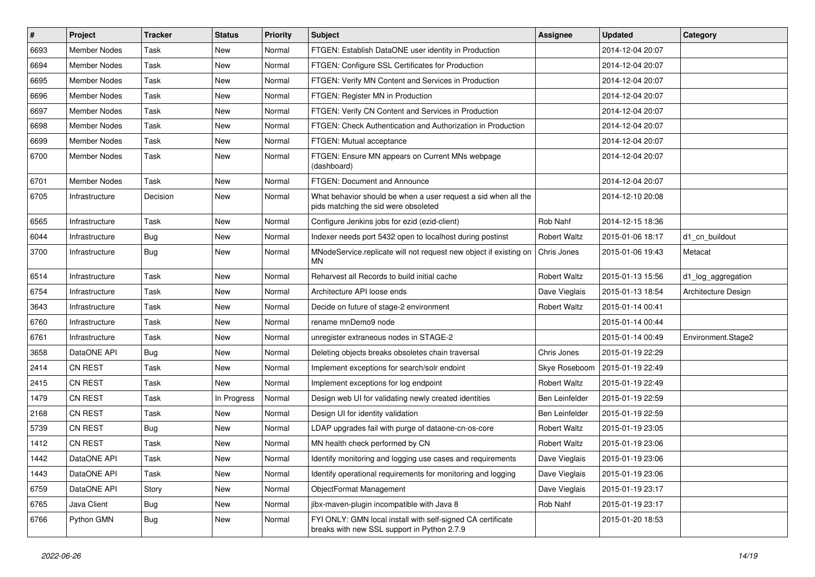| #    | Project             | <b>Tracker</b> | <b>Status</b> | <b>Priority</b> | Subject                                                                                                    | Assignee            | <b>Updated</b>   | Category            |
|------|---------------------|----------------|---------------|-----------------|------------------------------------------------------------------------------------------------------------|---------------------|------------------|---------------------|
| 6693 | Member Nodes        | Task           | New           | Normal          | FTGEN: Establish DataONE user identity in Production                                                       |                     | 2014-12-04 20:07 |                     |
| 6694 | <b>Member Nodes</b> | Task           | New           | Normal          | FTGEN: Configure SSL Certificates for Production                                                           |                     | 2014-12-04 20:07 |                     |
| 6695 | Member Nodes        | Task           | New           | Normal          | FTGEN: Verify MN Content and Services in Production                                                        |                     | 2014-12-04 20:07 |                     |
| 6696 | Member Nodes        | Task           | New           | Normal          | FTGEN: Register MN in Production                                                                           |                     | 2014-12-04 20:07 |                     |
| 6697 | <b>Member Nodes</b> | Task           | New           | Normal          | FTGEN: Verify CN Content and Services in Production                                                        |                     | 2014-12-04 20:07 |                     |
| 6698 | <b>Member Nodes</b> | Task           | New           | Normal          | FTGEN: Check Authentication and Authorization in Production                                                |                     | 2014-12-04 20:07 |                     |
| 6699 | <b>Member Nodes</b> | Task           | New           | Normal          | FTGEN: Mutual acceptance                                                                                   |                     | 2014-12-04 20:07 |                     |
| 6700 | Member Nodes        | Task           | New           | Normal          | FTGEN: Ensure MN appears on Current MNs webpage<br>(dashboard)                                             |                     | 2014-12-04 20:07 |                     |
| 6701 | <b>Member Nodes</b> | Task           | New           | Normal          | <b>FTGEN: Document and Announce</b>                                                                        |                     | 2014-12-04 20:07 |                     |
| 6705 | Infrastructure      | Decision       | New           | Normal          | What behavior should be when a user request a sid when all the<br>pids matching the sid were obsoleted     |                     | 2014-12-10 20:08 |                     |
| 6565 | Infrastructure      | Task           | New           | Normal          | Configure Jenkins jobs for ezid (ezid-client)                                                              | Rob Nahf            | 2014-12-15 18:36 |                     |
| 6044 | Infrastructure      | Bug            | New           | Normal          | Indexer needs port 5432 open to localhost during postinst                                                  | <b>Robert Waltz</b> | 2015-01-06 18:17 | d1 cn buildout      |
| 3700 | Infrastructure      | <b>Bug</b>     | New           | Normal          | MNodeService.replicate will not request new object if existing on<br><b>MN</b>                             | Chris Jones         | 2015-01-06 19:43 | Metacat             |
| 6514 | Infrastructure      | Task           | New           | Normal          | Reharvest all Records to build initial cache                                                               | <b>Robert Waltz</b> | 2015-01-13 15:56 | d1_log_aggregation  |
| 6754 | Infrastructure      | Task           | <b>New</b>    | Normal          | Architecture API loose ends                                                                                | Dave Vieglais       | 2015-01-13 18:54 | Architecture Design |
| 3643 | Infrastructure      | Task           | New           | Normal          | Decide on future of stage-2 environment                                                                    | Robert Waltz        | 2015-01-14 00:41 |                     |
| 6760 | Infrastructure      | Task           | New           | Normal          | rename mnDemo9 node                                                                                        |                     | 2015-01-14 00:44 |                     |
| 6761 | Infrastructure      | Task           | New           | Normal          | unregister extraneous nodes in STAGE-2                                                                     |                     | 2015-01-14 00:49 | Environment.Stage2  |
| 3658 | DataONE API         | Bug            | New           | Normal          | Deleting objects breaks obsoletes chain traversal                                                          | Chris Jones         | 2015-01-19 22:29 |                     |
| 2414 | <b>CN REST</b>      | Task           | <b>New</b>    | Normal          | Implement exceptions for search/solr endoint                                                               | Skye Roseboom       | 2015-01-19 22:49 |                     |
| 2415 | <b>CN REST</b>      | Task           | New           | Normal          | Implement exceptions for log endpoint                                                                      | <b>Robert Waltz</b> | 2015-01-19 22:49 |                     |
| 1479 | <b>CN REST</b>      | Task           | In Progress   | Normal          | Design web UI for validating newly created identities                                                      | Ben Leinfelder      | 2015-01-19 22:59 |                     |
| 2168 | <b>CN REST</b>      | Task           | <b>New</b>    | Normal          | Design UI for identity validation                                                                          | Ben Leinfelder      | 2015-01-19 22:59 |                     |
| 5739 | <b>CN REST</b>      | Bug            | New           | Normal          | LDAP upgrades fail with purge of dataone-cn-os-core                                                        | Robert Waltz        | 2015-01-19 23:05 |                     |
| 1412 | <b>CN REST</b>      | Task           | New           | Normal          | MN health check performed by CN                                                                            | <b>Robert Waltz</b> | 2015-01-19 23:06 |                     |
| 1442 | DataONE API         | Task           | New           | Normal          | Identify monitoring and logging use cases and requirements                                                 | Dave Vieglais       | 2015-01-19 23:06 |                     |
| 1443 | DataONE API         | Task           | New           | Normal          | Identify operational requirements for monitoring and logging                                               | Dave Vieglais       | 2015-01-19 23:06 |                     |
| 6759 | DataONE API         | Story          | New           | Normal          | ObjectFormat Management                                                                                    | Dave Vieglais       | 2015-01-19 23:17 |                     |
| 6765 | Java Client         | Bug            | New           | Normal          | jibx-maven-plugin incompatible with Java 8                                                                 | Rob Nahf            | 2015-01-19 23:17 |                     |
| 6766 | Python GMN          | <b>Bug</b>     | New           | Normal          | FYI ONLY: GMN local install with self-signed CA certificate<br>breaks with new SSL support in Python 2.7.9 |                     | 2015-01-20 18:53 |                     |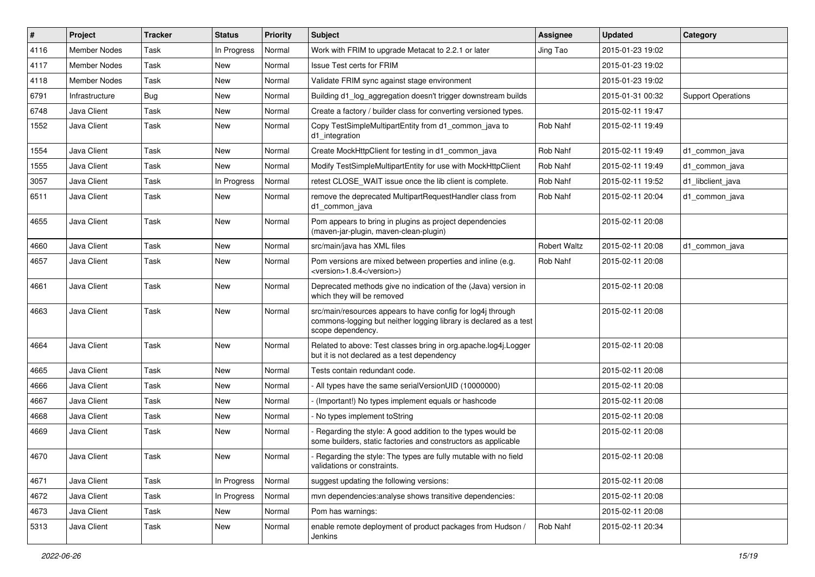| #    | Project             | <b>Tracker</b> | <b>Status</b> | <b>Priority</b> | Subject                                                                                                                                               | <b>Assignee</b>     | <b>Updated</b>   | Category                  |
|------|---------------------|----------------|---------------|-----------------|-------------------------------------------------------------------------------------------------------------------------------------------------------|---------------------|------------------|---------------------------|
| 4116 | Member Nodes        | Task           | In Progress   | Normal          | Work with FRIM to upgrade Metacat to 2.2.1 or later                                                                                                   | Jing Tao            | 2015-01-23 19:02 |                           |
| 4117 | <b>Member Nodes</b> | Task           | New           | Normal          | <b>Issue Test certs for FRIM</b>                                                                                                                      |                     | 2015-01-23 19:02 |                           |
| 4118 | Member Nodes        | Task           | New           | Normal          | Validate FRIM sync against stage environment                                                                                                          |                     | 2015-01-23 19:02 |                           |
| 6791 | Infrastructure      | <b>Bug</b>     | New           | Normal          | Building d1_log_aggregation doesn't trigger downstream builds                                                                                         |                     | 2015-01-31 00:32 | <b>Support Operations</b> |
| 6748 | Java Client         | Task           | <b>New</b>    | Normal          | Create a factory / builder class for converting versioned types.                                                                                      |                     | 2015-02-11 19:47 |                           |
| 1552 | Java Client         | Task           | <b>New</b>    | Normal          | Copy TestSimpleMultipartEntity from d1_common_java to<br>d1_integration                                                                               | Rob Nahf            | 2015-02-11 19:49 |                           |
| 1554 | Java Client         | Task           | New           | Normal          | Create MockHttpClient for testing in d1_common_java                                                                                                   | Rob Nahf            | 2015-02-11 19:49 | d1 common java            |
| 1555 | Java Client         | Task           | New           | Normal          | Modify TestSimpleMultipartEntity for use with MockHttpClient                                                                                          | Rob Nahf            | 2015-02-11 19:49 | d1 common java            |
| 3057 | Java Client         | Task           | In Progress   | Normal          | retest CLOSE_WAIT issue once the lib client is complete.                                                                                              | Rob Nahf            | 2015-02-11 19:52 | d1_libclient_java         |
| 6511 | Java Client         | Task           | <b>New</b>    | Normal          | remove the deprecated MultipartRequestHandler class from<br>d1_common_java                                                                            | Rob Nahf            | 2015-02-11 20:04 | d1 common java            |
| 4655 | Java Client         | Task           | New           | Normal          | Pom appears to bring in plugins as project dependencies<br>(maven-jar-plugin, maven-clean-plugin)                                                     |                     | 2015-02-11 20:08 |                           |
| 4660 | Java Client         | Task           | <b>New</b>    | Normal          | src/main/java has XML files                                                                                                                           | <b>Robert Waltz</b> | 2015-02-11 20:08 | d1_common_java            |
| 4657 | Java Client         | Task           | New           | Normal          | Pom versions are mixed between properties and inline (e.g.<br><version>1.8.4</version> )                                                              | Rob Nahf            | 2015-02-11 20:08 |                           |
| 4661 | Java Client         | Task           | New           | Normal          | Deprecated methods give no indication of the (Java) version in<br>which they will be removed                                                          |                     | 2015-02-11 20:08 |                           |
| 4663 | Java Client         | Task           | New           | Normal          | src/main/resources appears to have config for log4j through<br>commons-logging but neither logging library is declared as a test<br>scope dependency. |                     | 2015-02-11 20:08 |                           |
| 4664 | Java Client         | Task           | New           | Normal          | Related to above: Test classes bring in org.apache.log4j.Logger<br>but it is not declared as a test dependency                                        |                     | 2015-02-11 20:08 |                           |
| 4665 | Java Client         | Task           | New           | Normal          | Tests contain redundant code.                                                                                                                         |                     | 2015-02-11 20:08 |                           |
| 4666 | Java Client         | Task           | New           | Normal          | - All types have the same serialVersionUID (10000000)                                                                                                 |                     | 2015-02-11 20:08 |                           |
| 4667 | Java Client         | Task           | New           | Normal          | (Important!) No types implement equals or hashcode                                                                                                    |                     | 2015-02-11 20:08 |                           |
| 4668 | Java Client         | Task           | New           | Normal          | No types implement toString                                                                                                                           |                     | 2015-02-11 20:08 |                           |
| 4669 | Java Client         | Task           | New           | Normal          | Regarding the style: A good addition to the types would be<br>some builders, static factories and constructors as applicable                          |                     | 2015-02-11 20:08 |                           |
| 4670 | Java Client         | Task           | New           | Normal          | Regarding the style: The types are fully mutable with no field<br>validations or constraints.                                                         |                     | 2015-02-11 20:08 |                           |
| 4671 | Java Client         | Task           | In Progress   | Normal          | suggest updating the following versions:                                                                                                              |                     | 2015-02-11 20:08 |                           |
| 4672 | Java Client         | Task           | In Progress   | Normal          | mvn dependencies: analyse shows transitive dependencies:                                                                                              |                     | 2015-02-11 20:08 |                           |
| 4673 | Java Client         | Task           | New           | Normal          | Pom has warnings:                                                                                                                                     |                     | 2015-02-11 20:08 |                           |
| 5313 | Java Client         | Task           | New           | Normal          | enable remote deployment of product packages from Hudson /<br>Jenkins                                                                                 | Rob Nahf            | 2015-02-11 20:34 |                           |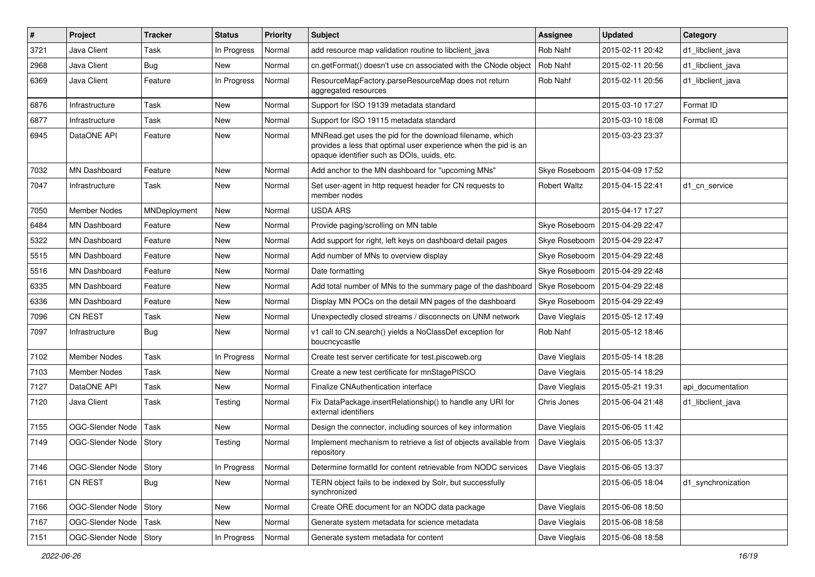| $\vert$ # | Project                  | <b>Tracker</b> | <b>Status</b> | <b>Priority</b> | <b>Subject</b>                                                                                                                                                             | <b>Assignee</b>     | <b>Updated</b>   | Category           |
|-----------|--------------------------|----------------|---------------|-----------------|----------------------------------------------------------------------------------------------------------------------------------------------------------------------------|---------------------|------------------|--------------------|
| 3721      | Java Client              | Task           | In Progress   | Normal          | add resource map validation routine to libclient_java                                                                                                                      | Rob Nahf            | 2015-02-11 20:42 | d1_libclient_java  |
| 2968      | Java Client              | <b>Bug</b>     | New           | Normal          | cn.getFormat() doesn't use cn associated with the CNode object                                                                                                             | Rob Nahf            | 2015-02-11 20:56 | d1 libclient java  |
| 6369      | Java Client              | Feature        | In Progress   | Normal          | ResourceMapFactory.parseResourceMap does not return<br>aggregated resources                                                                                                | Rob Nahf            | 2015-02-11 20:56 | d1_libclient_java  |
| 6876      | Infrastructure           | Task           | <b>New</b>    | Normal          | Support for ISO 19139 metadata standard                                                                                                                                    |                     | 2015-03-10 17:27 | Format ID          |
| 6877      | Infrastructure           | Task           | New           | Normal          | Support for ISO 19115 metadata standard                                                                                                                                    |                     | 2015-03-10 18:08 | Format ID          |
| 6945      | DataONE API              | Feature        | New           | Normal          | MNRead.get uses the pid for the download filename, which<br>provides a less that optimal user experience when the pid is an<br>opaque identifier such as DOIs, uuids, etc. |                     | 2015-03-23 23:37 |                    |
| 7032      | <b>MN Dashboard</b>      | Feature        | <b>New</b>    | Normal          | Add anchor to the MN dashboard for "upcoming MNs"                                                                                                                          | Skye Roseboom       | 2015-04-09 17:52 |                    |
| 7047      | Infrastructure           | Task           | New           | Normal          | Set user-agent in http request header for CN requests to<br>member nodes                                                                                                   | <b>Robert Waltz</b> | 2015-04-15 22:41 | d1 cn service      |
| 7050      | <b>Member Nodes</b>      | MNDeployment   | New           | Normal          | <b>USDA ARS</b>                                                                                                                                                            |                     | 2015-04-17 17:27 |                    |
| 6484      | MN Dashboard             | Feature        | New           | Normal          | Provide paging/scrolling on MN table                                                                                                                                       | Skye Roseboom       | 2015-04-29 22:47 |                    |
| 5322      | <b>MN Dashboard</b>      | Feature        | New           | Normal          | Add support for right, left keys on dashboard detail pages                                                                                                                 | Skye Roseboom       | 2015-04-29 22:47 |                    |
| 5515      | MN Dashboard             | Feature        | New           | Normal          | Add number of MNs to overview display                                                                                                                                      | Skye Roseboom       | 2015-04-29 22:48 |                    |
| 5516      | <b>MN Dashboard</b>      | Feature        | New           | Normal          | Date formatting                                                                                                                                                            | Skye Roseboom       | 2015-04-29 22:48 |                    |
| 6335      | <b>MN Dashboard</b>      | Feature        | New           | Normal          | Add total number of MNs to the summary page of the dashboard                                                                                                               | Skye Roseboom       | 2015-04-29 22:48 |                    |
| 6336      | <b>MN Dashboard</b>      | Feature        | New           | Normal          | Display MN POCs on the detail MN pages of the dashboard                                                                                                                    | Skye Roseboom       | 2015-04-29 22:49 |                    |
| 7096      | CN REST                  | Task           | New           | Normal          | Unexpectedly closed streams / disconnects on UNM network                                                                                                                   | Dave Vieglais       | 2015-05-12 17:49 |                    |
| 7097      | Infrastructure           | Bug            | New           | Normal          | v1 call to CN.search() yields a NoClassDef exception for<br>boucncycastle                                                                                                  | Rob Nahf            | 2015-05-12 18:46 |                    |
| 7102      | Member Nodes             | Task           | In Progress   | Normal          | Create test server certificate for test.piscoweb.org                                                                                                                       | Dave Vieglais       | 2015-05-14 18:28 |                    |
| 7103      | Member Nodes             | Task           | New           | Normal          | Create a new test certificate for mnStagePISCO                                                                                                                             | Dave Vieglais       | 2015-05-14 18:29 |                    |
| 7127      | DataONE API              | Task           | New           | Normal          | Finalize CNAuthentication interface                                                                                                                                        | Dave Vieglais       | 2015-05-21 19:31 | api_documentation  |
| 7120      | Java Client              | Task           | Testing       | Normal          | Fix DataPackage.insertRelationship() to handle any URI for<br>external identifiers                                                                                         | Chris Jones         | 2015-06-04 21:48 | d1 libclient java  |
| 7155      | OGC-Slender Node         | Task           | New           | Normal          | Design the connector, including sources of key information                                                                                                                 | Dave Vieglais       | 2015-06-05 11:42 |                    |
| 7149      | OGC-Slender Node         | Story          | Testing       | Normal          | Implement mechanism to retrieve a list of objects available from<br>repository                                                                                             | Dave Vieglais       | 2015-06-05 13:37 |                    |
| 7146      | OGC-Slender Node   Story |                | In Progress   | Normal          | Determine formatId for content retrievable from NODC services                                                                                                              | Dave Vieglais       | 2015-06-05 13:37 |                    |
| 7161      | CN REST                  | Bug            | New           | Normal          | TERN object fails to be indexed by Solr, but successfully<br>synchronized                                                                                                  |                     | 2015-06-05 18:04 | d1_synchronization |
| 7166      | OGC-Slender Node         | Story          | New           | Normal          | Create ORE document for an NODC data package                                                                                                                               | Dave Vieglais       | 2015-06-08 18:50 |                    |
| 7167      | OGC-Slender Node         | Task           | New           | Normal          | Generate system metadata for science metadata                                                                                                                              | Dave Vieglais       | 2015-06-08 18:58 |                    |
| 7151      | OGC-Slender Node   Story |                | In Progress   | Normal          | Generate system metadata for content                                                                                                                                       | Dave Vieglais       | 2015-06-08 18:58 |                    |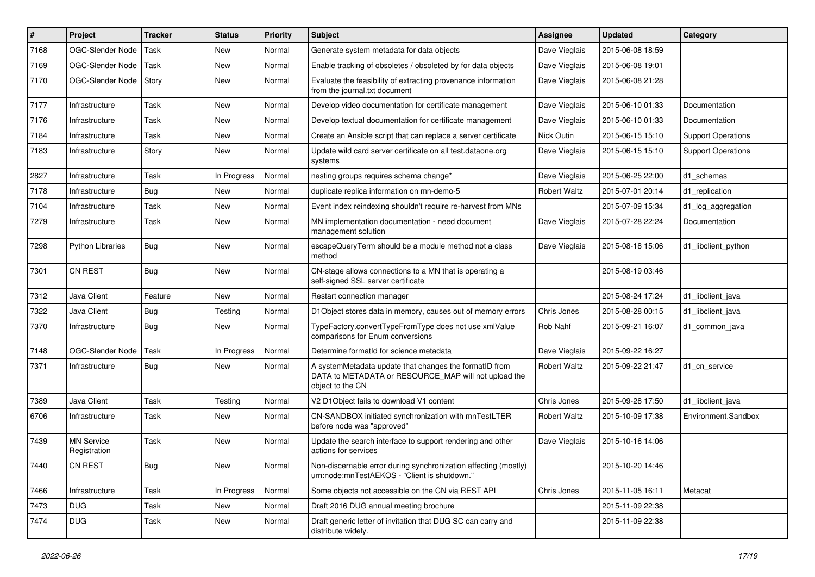| #    | Project                           | <b>Tracker</b> | <b>Status</b> | <b>Priority</b> | <b>Subject</b>                                                                                                                     | Assignee            | <b>Updated</b>   | Category                  |
|------|-----------------------------------|----------------|---------------|-----------------|------------------------------------------------------------------------------------------------------------------------------------|---------------------|------------------|---------------------------|
| 7168 | OGC-Slender Node                  | Task           | New           | Normal          | Generate system metadata for data objects                                                                                          | Dave Vieglais       | 2015-06-08 18:59 |                           |
| 7169 | OGC-Slender Node                  | Task           | New           | Normal          | Enable tracking of obsoletes / obsoleted by for data objects                                                                       | Dave Vieglais       | 2015-06-08 19:01 |                           |
| 7170 | OGC-Slender Node                  | Story          | New           | Normal          | Evaluate the feasibility of extracting provenance information<br>from the journal.txt document                                     | Dave Vieglais       | 2015-06-08 21:28 |                           |
| 7177 | Infrastructure                    | Task           | New           | Normal          | Develop video documentation for certificate management                                                                             | Dave Vieglais       | 2015-06-10 01:33 | Documentation             |
| 7176 | Infrastructure                    | Task           | New           | Normal          | Develop textual documentation for certificate management                                                                           | Dave Vieglais       | 2015-06-10 01:33 | Documentation             |
| 7184 | Infrastructure                    | Task           | New           | Normal          | Create an Ansible script that can replace a server certificate                                                                     | Nick Outin          | 2015-06-15 15:10 | <b>Support Operations</b> |
| 7183 | Infrastructure                    | Story          | New           | Normal          | Update wild card server certificate on all test.dataone.org<br>systems                                                             | Dave Vieglais       | 2015-06-15 15:10 | <b>Support Operations</b> |
| 2827 | Infrastructure                    | Task           | In Progress   | Normal          | nesting groups requires schema change*                                                                                             | Dave Vieglais       | 2015-06-25 22:00 | d1_schemas                |
| 7178 | Infrastructure                    | <b>Bug</b>     | New           | Normal          | duplicate replica information on mn-demo-5                                                                                         | <b>Robert Waltz</b> | 2015-07-01 20:14 | d1 replication            |
| 7104 | Infrastructure                    | Task           | New           | Normal          | Event index reindexing shouldn't require re-harvest from MNs                                                                       |                     | 2015-07-09 15:34 | d1_log_aggregation        |
| 7279 | Infrastructure                    | Task           | New           | Normal          | MN implementation documentation - need document<br>management solution                                                             | Dave Vieglais       | 2015-07-28 22:24 | Documentation             |
| 7298 | <b>Python Libraries</b>           | Bug            | New           | Normal          | escapeQueryTerm should be a module method not a class<br>method                                                                    | Dave Vieglais       | 2015-08-18 15:06 | d1_libclient_python       |
| 7301 | CN REST                           | Bug            | New           | Normal          | CN-stage allows connections to a MN that is operating a<br>self-signed SSL server certificate                                      |                     | 2015-08-19 03:46 |                           |
| 7312 | Java Client                       | Feature        | New           | Normal          | Restart connection manager                                                                                                         |                     | 2015-08-24 17:24 | d1 libclient java         |
| 7322 | Java Client                       | Bug            | Testing       | Normal          | D1Object stores data in memory, causes out of memory errors                                                                        | Chris Jones         | 2015-08-28 00:15 | d1 libclient java         |
| 7370 | Infrastructure                    | Bug            | New           | Normal          | TypeFactory.convertTypeFromType does not use xmlValue<br>comparisons for Enum conversions                                          | Rob Nahf            | 2015-09-21 16:07 | d1 common java            |
| 7148 | OGC-Slender Node                  | Task           | In Progress   | Normal          | Determine formatid for science metadata                                                                                            | Dave Vieglais       | 2015-09-22 16:27 |                           |
| 7371 | Infrastructure                    | Bug            | New           | Normal          | A systemMetadata update that changes the formatID from<br>DATA to METADATA or RESOURCE_MAP will not upload the<br>object to the CN | <b>Robert Waltz</b> | 2015-09-22 21:47 | d1 cn service             |
| 7389 | Java Client                       | Task           | Testing       | Normal          | V2 D1 Object fails to download V1 content                                                                                          | Chris Jones         | 2015-09-28 17:50 | d1 libclient java         |
| 6706 | Infrastructure                    | Task           | New           | Normal          | CN-SANDBOX initiated synchronization with mnTestLTER<br>before node was "approved"                                                 | <b>Robert Waltz</b> | 2015-10-09 17:38 | Environment.Sandbox       |
| 7439 | <b>MN Service</b><br>Registration | Task           | New           | Normal          | Update the search interface to support rendering and other<br>actions for services                                                 | Dave Vieglais       | 2015-10-16 14:06 |                           |
| 7440 | <b>CN REST</b>                    | <b>Bug</b>     | New           | Normal          | Non-discernable error during synchronization affecting (mostly)<br>urn:node:mnTestAEKOS - "Client is shutdown."                    |                     | 2015-10-20 14:46 |                           |
| 7466 | Infrastructure                    | Task           | In Progress   | Normal          | Some objects not accessible on the CN via REST API                                                                                 | Chris Jones         | 2015-11-05 16:11 | Metacat                   |
| 7473 | <b>DUG</b>                        | Task           | New           | Normal          | Draft 2016 DUG annual meeting brochure                                                                                             |                     | 2015-11-09 22:38 |                           |
| 7474 | <b>DUG</b>                        | Task           | New           | Normal          | Draft generic letter of invitation that DUG SC can carry and<br>distribute widely.                                                 |                     | 2015-11-09 22:38 |                           |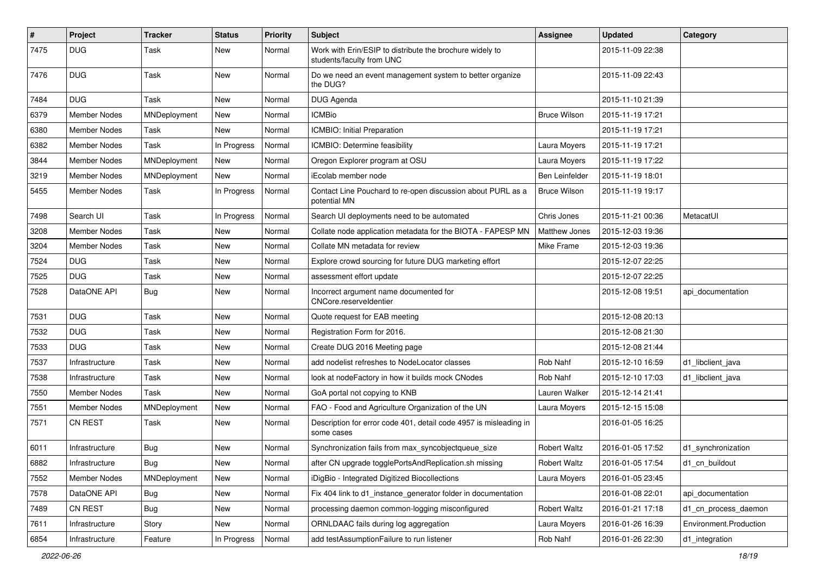| $\#$ | Project             | <b>Tracker</b> | <b>Status</b> | <b>Priority</b> | <b>Subject</b>                                                                        | <b>Assignee</b>       | <b>Updated</b>   | Category               |
|------|---------------------|----------------|---------------|-----------------|---------------------------------------------------------------------------------------|-----------------------|------------------|------------------------|
| 7475 | <b>DUG</b>          | Task           | New           | Normal          | Work with Erin/ESIP to distribute the brochure widely to<br>students/faculty from UNC |                       | 2015-11-09 22:38 |                        |
| 7476 | DUG.                | Task           | New           | Normal          | Do we need an event management system to better organize<br>the DUG?                  |                       | 2015-11-09 22:43 |                        |
| 7484 | <b>DUG</b>          | Task           | <b>New</b>    | Normal          | DUG Agenda                                                                            |                       | 2015-11-10 21:39 |                        |
| 6379 | <b>Member Nodes</b> | MNDeployment   | New           | Normal          | <b>ICMBio</b>                                                                         | <b>Bruce Wilson</b>   | 2015-11-19 17:21 |                        |
| 6380 | <b>Member Nodes</b> | Task           | <b>New</b>    | Normal          | ICMBIO: Initial Preparation                                                           |                       | 2015-11-19 17:21 |                        |
| 6382 | <b>Member Nodes</b> | Task           | In Progress   | Normal          | ICMBIO: Determine feasibility                                                         | Laura Moyers          | 2015-11-19 17:21 |                        |
| 3844 | <b>Member Nodes</b> | MNDeployment   | <b>New</b>    | Normal          | Oregon Explorer program at OSU                                                        | Laura Moyers          | 2015-11-19 17:22 |                        |
| 3219 | <b>Member Nodes</b> | MNDeployment   | New           | Normal          | iEcolab member node                                                                   | <b>Ben Leinfelder</b> | 2015-11-19 18:01 |                        |
| 5455 | Member Nodes        | Task           | In Progress   | Normal          | Contact Line Pouchard to re-open discussion about PURL as a<br>potential MN           | <b>Bruce Wilson</b>   | 2015-11-19 19:17 |                        |
| 7498 | Search UI           | Task           | In Progress   | Normal          | Search UI deployments need to be automated                                            | Chris Jones           | 2015-11-21 00:36 | MetacatUI              |
| 3208 | <b>Member Nodes</b> | Task           | New           | Normal          | Collate node application metadata for the BIOTA - FAPESP MN                           | Matthew Jones         | 2015-12-03 19:36 |                        |
| 3204 | <b>Member Nodes</b> | Task           | <b>New</b>    | Normal          | Collate MN metadata for review                                                        | Mike Frame            | 2015-12-03 19:36 |                        |
| 7524 | <b>DUG</b>          | Task           | New           | Normal          | Explore crowd sourcing for future DUG marketing effort                                |                       | 2015-12-07 22:25 |                        |
| 7525 | <b>DUG</b>          | Task           | New           | Normal          | assessment effort update                                                              |                       | 2015-12-07 22:25 |                        |
| 7528 | DataONE API         | Bug            | <b>New</b>    | Normal          | Incorrect argument name documented for<br>CNCore.reserveldentier                      |                       | 2015-12-08 19:51 | api_documentation      |
| 7531 | <b>DUG</b>          | Task           | New           | Normal          | Quote request for EAB meeting                                                         |                       | 2015-12-08 20:13 |                        |
| 7532 | <b>DUG</b>          | Task           | New           | Normal          | Registration Form for 2016.                                                           |                       | 2015-12-08 21:30 |                        |
| 7533 | <b>DUG</b>          | Task           | New           | Normal          | Create DUG 2016 Meeting page                                                          |                       | 2015-12-08 21:44 |                        |
| 7537 | Infrastructure      | Task           | <b>New</b>    | Normal          | add nodelist refreshes to NodeLocator classes                                         | Rob Nahf              | 2015-12-10 16:59 | d1_libclient_java      |
| 7538 | Infrastructure      | Task           | New           | Normal          | look at nodeFactory in how it builds mock CNodes                                      | Rob Nahf              | 2015-12-10 17:03 | d1_libclient_java      |
| 7550 | Member Nodes        | Task           | New           | Normal          | GoA portal not copying to KNB                                                         | Lauren Walker         | 2015-12-14 21:41 |                        |
| 7551 | <b>Member Nodes</b> | MNDeployment   | New           | Normal          | FAO - Food and Agriculture Organization of the UN                                     | Laura Moyers          | 2015-12-15 15:08 |                        |
| 7571 | CN REST             | Task           | New           | Normal          | Description for error code 401, detail code 4957 is misleading in<br>some cases       |                       | 2016-01-05 16:25 |                        |
| 6011 | Infrastructure      | <b>Bug</b>     | New           | Normal          | Synchronization fails from max_syncobjectqueue_size                                   | <b>Robert Waltz</b>   | 2016-01-05 17:52 | d1_synchronization     |
| 6882 | Infrastructure      | Bug            | New           | Normal          | after CN upgrade togglePortsAndReplication.sh missing                                 | <b>Robert Waltz</b>   | 2016-01-05 17:54 | d1_cn_buildout         |
| 7552 | Member Nodes        | MNDeployment   | New           | Normal          | iDigBio - Integrated Digitized Biocollections                                         | Laura Moyers          | 2016-01-05 23:45 |                        |
| 7578 | DataONE API         | <b>Bug</b>     | New           | Normal          | Fix 404 link to d1_instance_generator folder in documentation                         |                       | 2016-01-08 22:01 | api documentation      |
| 7489 | CN REST             | Bug            | New           | Normal          | processing daemon common-logging misconfigured                                        | <b>Robert Waltz</b>   | 2016-01-21 17:18 | d1_cn_process_daemon   |
| 7611 | Infrastructure      | Story          | New           | Normal          | ORNLDAAC fails during log aggregation                                                 | Laura Moyers          | 2016-01-26 16:39 | Environment.Production |
| 6854 | Infrastructure      | Feature        | In Progress   | Normal          | add testAssumptionFailure to run listener                                             | Rob Nahf              | 2016-01-26 22:30 | d1_integration         |